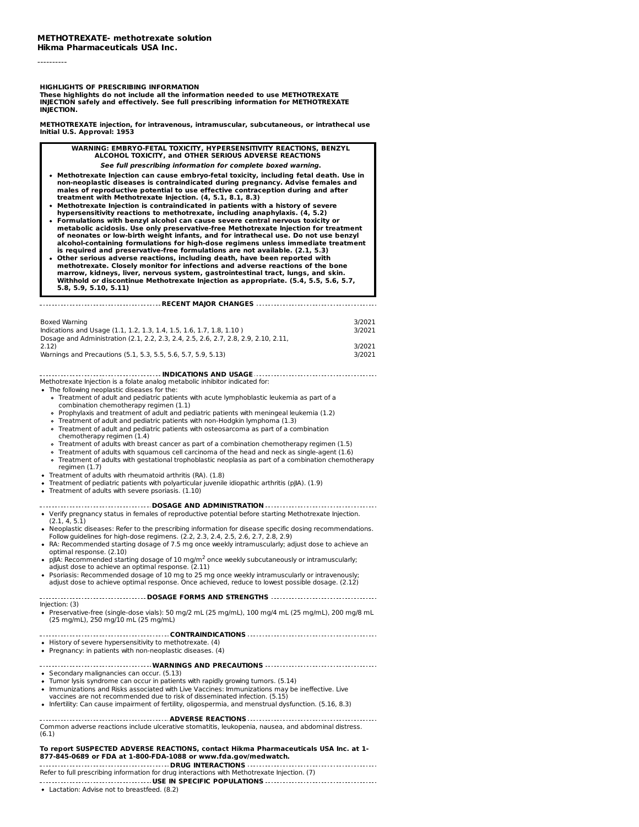----------

#### **HIGHLIGHTS OF PRESCRIBING INFORMATION**

**These highlights do not include all the information needed to use METHOTREXATE INJECTION safely and effectively. See full prescribing information for METHOTREXATE INJECTION.**

**METHOTREXATE injection, for intravenous, intramuscular, subcutaneous, or intrathecal use Initial U.S. Approval: 1953**

**WARNING: EMBRYO-FETAL TOXICITY, HYPERSENSITIVITY REACTIONS, BENZYL ALCOHOL TOXICITY, and OTHER SERIOUS ADVERSE REACTIONS See full prescribing information for complete boxed warning.** Methotrexate Injection can cause embryo-fetal toxicity, including fetal death. Use in<br>non-neoplastic diseases is contraindicated during pregnancy. Advise females and<br>males of reproductive potential to use effective contrac **treatment with Methotrexate Injection. (4, 5.1, 8.1, 8.3) Methotrexate Injection is contraindicated in patients with a history of severe hypersensitivity reactions to methotrexate, including anaphylaxis. (4, 5.2) Formulations with benzyl alcohol can cause severe central nervous toxicity or metabolic acidosis. Use only preservative-free Methotrexate Injection for treatment** of neonates or low-birth weight infants, and for intrathecal use. Do not use benzyl<br>alcohol-containing formulations for high-dose regimens unless immediate treatment **is required and preservative-free formulations are not available. (2.1, 5.3)**

**Other serious adverse reactions, including death, have been reported with methotrexate. Closely monitor for infections and adverse reactions of the bone** marrow, kidneys, liver, nervous system, gastrointestinal tract, lungs, and skin.<br>Withhold or discontinue Methotrexate Injection as appropriate. (5.4, 5.5, 5.6, 5.7, **5.8, 5.9, 5.10, 5.11)**

**RECENT MAJOR CHANGES** Boxed Warning 3/2021 Indications and Usage (1.1, 1.2, 1.3, 1.4, 1.5, 1.6, 1.7, 1.8, 1.10 ) 3/2021 Dosage and Administration (2.1, 2.2, 2.3, 2.4, 2.5, 2.6, 2.7, 2.8, 2.9, 2.10, 2.11, 2.12) 3/2021 Warnings and Precautions (5.1, 5.3, 5.5, 5.6, 5.7, 5.9, 5.13) 3/2021

## **INDICATIONS AND USAGE**

- Methotrexate Injection is a folate analog metabolic inhibitor indicated for: The following neoplastic diseases for the:
	- Treatment of adult and pediatric patients with acute lymphoblastic leukemia as part of a combination chemotherapy regimen (1.1)
	- Prophylaxis and treatment of adult and pediatric patients with meningeal leukemia (1.2)
	- Treatment of adult and pediatric patients with non-Hodgkin lymphoma (1.3)
	- Treatment of adult and pediatric patients with osteosarcoma as part of a combination  $\circ$
	- chemotherapy regimen (1.4)
	- Treatment of adults with breast cancer as part of a combination chemotherapy regimen (1.5)
	- Treatment of adults with squamous cell carcinoma of the head and neck as single-agent (1.6)
	- Treatment of adults with gestational trophoblastic neoplasia as part of a combination chemotherapy regimen (1.7)
- Treatment of adults with rheumatoid arthritis (RA). (1.8)
- Treatment of pediatric patients with polyarticular juvenile idiopathic arthritis (pJIA). (1.9)
- Treatment of adults with severe psoriasis. (1.10)

# **DOSAGE AND ADMINISTRATION**

- Verify pregnancy status in females of reproductive potential before starting Methotrexate Injection. (2.1, 4, 5.1) Neoplastic diseases: Refer to the prescribing information for disease specific dosing recommendations.
- Follow guidelines for high-dose regimens. (2.2, 2.3, 2.4, 2.5, 2.6, 2.7, 2.8, 2.9)
- RA: Recommended starting dosage of 7.5 mg once weekly intramuscularly; adjust dose to achieve an optimal response. (2.10)
- pJIA: Recommended starting dosage of 10 mg/m<sup>2</sup> once weekly subcutaneously or intramuscularly; adjust dose to achieve an optimal response. (2.11)
- Psoriasis: Recommended dosage of 10 mg to 25 mg once weekly intramuscularly or intravenously; adjust dose to achieve optimal response. Once achieved, reduce to lowest possible dosage. (2.12)

**DOSAGE FORMS AND STRENGTHS** Injection: (3)  $\bullet$  Preservative-free (single-dose vials): 50 mg/2 mL (25 mg/mL), 100 mg/4 mL (25 mg/mL), 200 mg/8 mL (25 mg/mL), 250 mg/10 mL (25 mg/mL)

**CONTRAINDICATIONS**

- History of severe hypersensitivity to methotrexate. (4)
- Pregnancy: in patients with non-neoplastic diseases. (4)

## **WARNINGS AND PRECAUTIONS**

• Secondary malignancies can occur. (5.13)

- Tumor lysis syndrome can occur in patients with rapidly growing tumors. (5.14)
- Immunizations and Risks associated with Live Vaccines: Immunizations may be ineffective. Live
- vaccines are not recommended due to risk of disseminated infection. (5.15)
- Infertility: Can cause impairment of fertility, oligospermia, and menstrual dysfunction. (5.16, 8.3)

**ADVERSE REACTIONS** Common adverse reactions include ulcerative stomatitis, leukopenia, nausea, and abdominal distress. (6.1)

#### **To report SUSPECTED ADVERSE REACTIONS, contact Hikma Pharmaceuticals USA Inc. at 1- 877-845-0689 or FDA at 1-800-FDA-1088 or www.fda.gov/medwatch. DRUG INTERACTIONS**

Refer to full prescribing information for drug interactions with Methotrexate Injection. (7) **USE IN SPECIFIC POPULATIONS**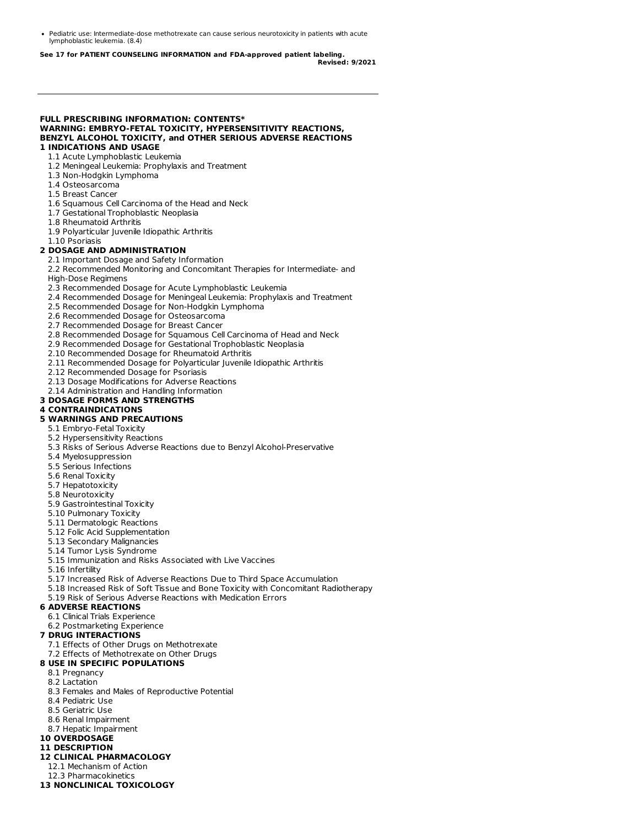Pediatric use: Intermediate-dose methotrexate can cause serious neurotoxicity in patients with acute lymphoblastic leukemia. (8.4)

**See 17 for PATIENT COUNSELING INFORMATION and FDA-approved patient labeling. Revised: 9/2021**

#### **FULL PRESCRIBING INFORMATION: CONTENTS\* WARNING: EMBRYO-FETAL TOXICITY, HYPERSENSITIVITY REACTIONS, BENZYL ALCOHOL TOXICITY, and OTHER SERIOUS ADVERSE REACTIONS 1 INDICATIONS AND USAGE**

#### 1.1 Acute Lymphoblastic Leukemia

- 1.2 Meningeal Leukemia: Prophylaxis and Treatment
- 1.3 Non-Hodgkin Lymphoma
- 1.4 Osteosarcoma
- 1.5 Breast Cancer
- 1.6 Squamous Cell Carcinoma of the Head and Neck
- 1.7 Gestational Trophoblastic Neoplasia
- 1.8 Rheumatoid Arthritis
- 1.9 Polyarticular Juvenile Idiopathic Arthritis
- 1.10 Psoriasis

#### **2 DOSAGE AND ADMINISTRATION**

- 2.1 Important Dosage and Safety Information
- 2.2 Recommended Monitoring and Concomitant Therapies for Intermediate- and
- High-Dose Regimens
- 2.3 Recommended Dosage for Acute Lymphoblastic Leukemia
- 2.4 Recommended Dosage for Meningeal Leukemia: Prophylaxis and Treatment
- 2.5 Recommended Dosage for Non-Hodgkin Lymphoma
- 2.6 Recommended Dosage for Osteosarcoma
- 2.7 Recommended Dosage for Breast Cancer
- 2.8 Recommended Dosage for Squamous Cell Carcinoma of Head and Neck
- 2.9 Recommended Dosage for Gestational Trophoblastic Neoplasia
- 2.10 Recommended Dosage for Rheumatoid Arthritis
- 2.11 Recommended Dosage for Polyarticular Juvenile Idiopathic Arthritis
- 2.12 Recommended Dosage for Psoriasis
- 2.13 Dosage Modifications for Adverse Reactions
- 2.14 Administration and Handling Information
- **3 DOSAGE FORMS AND STRENGTHS**

### **4 CONTRAINDICATIONS**

#### **5 WARNINGS AND PRECAUTIONS**

- 5.1 Embryo-Fetal Toxicity
- 5.2 Hypersensitivity Reactions
- 5.3 Risks of Serious Adverse Reactions due to Benzyl Alcohol-Preservative
- 5.4 Myelosuppression
- 5.5 Serious Infections
- 5.6 Renal Toxicity
- 5.7 Hepatotoxicity
- 5.8 Neurotoxicity
- 5.9 Gastrointestinal Toxicity
- 5.10 Pulmonary Toxicity
- 5.11 Dermatologic Reactions
- 5.12 Folic Acid Supplementation
- 5.13 Secondary Malignancies
- 5.14 Tumor Lysis Syndrome
- 5.15 Immunization and Risks Associated with Live Vaccines
- 5.16 Infertility
- 5.17 Increased Risk of Adverse Reactions Due to Third Space Accumulation
- 5.18 Increased Risk of Soft Tissue and Bone Toxicity with Concomitant Radiotherapy
- 5.19 Risk of Serious Adverse Reactions with Medication Errors

#### **6 ADVERSE REACTIONS**

- 6.1 Clinical Trials Experience
- 6.2 Postmarketing Experience

## **7 DRUG INTERACTIONS**

- 7.1 Effects of Other Drugs on Methotrexate
- 7.2 Effects of Methotrexate on Other Drugs

#### **8 USE IN SPECIFIC POPULATIONS**

- 8.1 Pregnancy
- 8.2 Lactation
- 8.3 Females and Males of Reproductive Potential
- 8.4 Pediatric Use
- 8.5 Geriatric Use
- 8.6 Renal Impairment
- 8.7 Hepatic Impairment

## **10 OVERDOSAGE**

- **11 DESCRIPTION**
- **12 CLINICAL PHARMACOLOGY**
- 12.1 Mechanism of Action
- 12.3 Pharmacokinetics
- **13 NONCLINICAL TOXICOLOGY**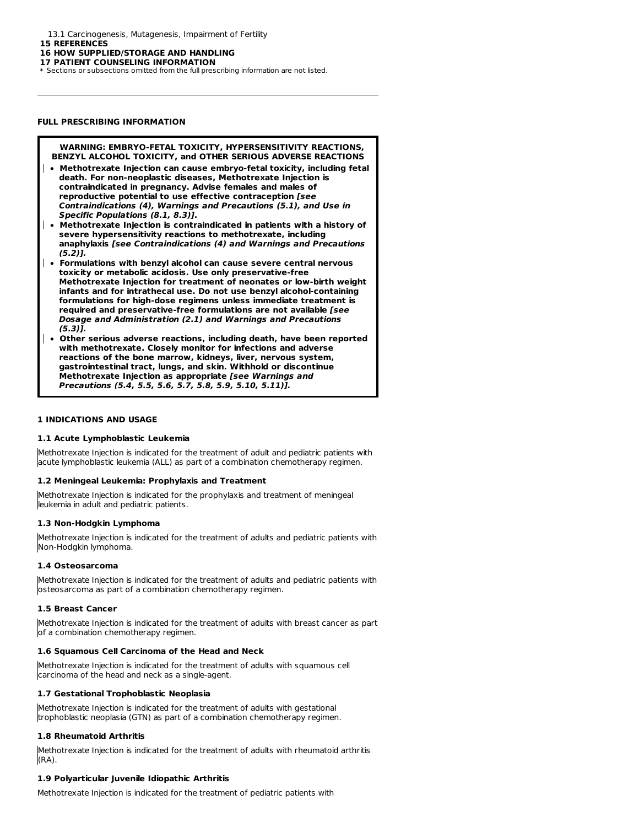13.1 Carcinogenesis, Mutagenesis, Impairment of Fertility

**15 REFERENCES**

#### **16 HOW SUPPLIED/STORAGE AND HANDLING**

**17 PATIENT COUNSELING INFORMATION**

\* Sections or subsections omitted from the full prescribing information are not listed.

#### **FULL PRESCRIBING INFORMATION**

#### **WARNING: EMBRYO-FETAL TOXICITY, HYPERSENSITIVITY REACTIONS, BENZYL ALCOHOL TOXICITY, and OTHER SERIOUS ADVERSE REACTIONS**

- **Methotrexate Injection can cause embryo-fetal toxicity, including fetal death. For non-neoplastic diseases, Methotrexate Injection is contraindicated in pregnancy. Advise females and males of reproductive potential to use effective contraception [see Contraindications (4), Warnings and Precautions (5.1), and Use in Specific Populations (8.1, 8.3)].**
- **Methotrexate Injection is contraindicated in patients with a history of severe hypersensitivity reactions to methotrexate, including anaphylaxis [see Contraindications (4) and Warnings and Precautions (5.2)].**
- **Formulations with benzyl alcohol can cause severe central nervous toxicity or metabolic acidosis. Use only preservative-free Methotrexate Injection for treatment of neonates or low-birth weight infants and for intrathecal use. Do not use benzyl alcohol-containing formulations for high-dose regimens unless immediate treatment is required and preservative-free formulations are not available [see Dosage and Administration (2.1) and Warnings and Precautions (5.3)].**
- **Other serious adverse reactions, including death, have been reported with methotrexate. Closely monitor for infections and adverse reactions of the bone marrow, kidneys, liver, nervous system, gastrointestinal tract, lungs, and skin. Withhold or discontinue Methotrexate Injection as appropriate [see Warnings and Precautions (5.4, 5.5, 5.6, 5.7, 5.8, 5.9, 5.10, 5.11)].**

## **1 INDICATIONS AND USAGE**

#### **1.1 Acute Lymphoblastic Leukemia**

Methotrexate Injection is indicated for the treatment of adult and pediatric patients with acute lymphoblastic leukemia (ALL) as part of a combination chemotherapy regimen.

#### **1.2 Meningeal Leukemia: Prophylaxis and Treatment**

Methotrexate Injection is indicated for the prophylaxis and treatment of meningeal leukemia in adult and pediatric patients.

#### **1.3 Non-Hodgkin Lymphoma**

Methotrexate Injection is indicated for the treatment of adults and pediatric patients with Non-Hodgkin lymphoma.

#### **1.4 Osteosarcoma**

Methotrexate Injection is indicated for the treatment of adults and pediatric patients with osteosarcoma as part of a combination chemotherapy regimen.

#### **1.5 Breast Cancer**

Methotrexate Injection is indicated for the treatment of adults with breast cancer as part of a combination chemotherapy regimen.

#### **1.6 Squamous Cell Carcinoma of the Head and Neck**

Methotrexate Injection is indicated for the treatment of adults with squamous cell carcinoma of the head and neck as a single-agent.

#### **1.7 Gestational Trophoblastic Neoplasia**

Methotrexate Injection is indicated for the treatment of adults with gestational trophoblastic neoplasia (GTN) as part of a combination chemotherapy regimen.

### **1.8 Rheumatoid Arthritis**

Methotrexate Injection is indicated for the treatment of adults with rheumatoid arthritis (RA).

## **1.9 Polyarticular Juvenile Idiopathic Arthritis**

Methotrexate Injection is indicated for the treatment of pediatric patients with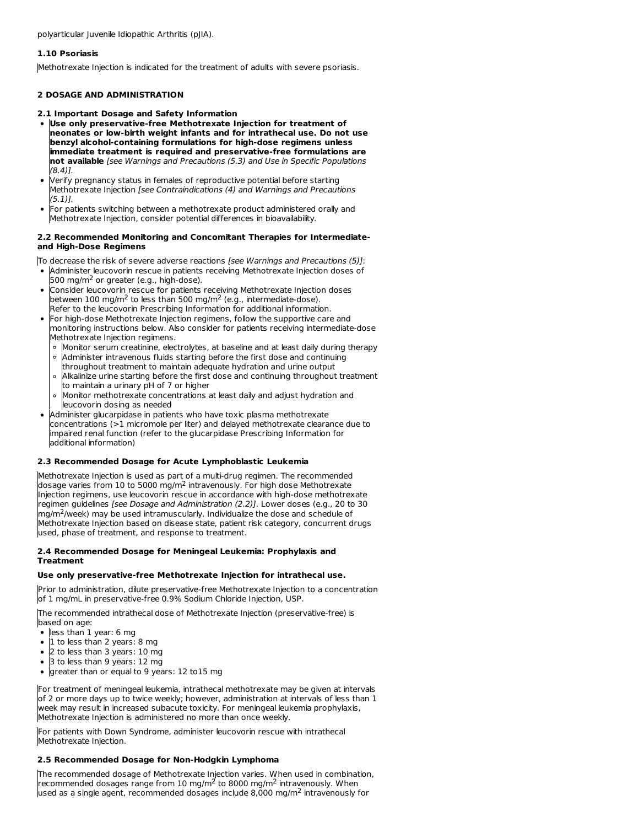polyarticular Juvenile Idiopathic Arthritis (pJIA).

## **1.10 Psoriasis**

Methotrexate Injection is indicated for the treatment of adults with severe psoriasis.

## **2 DOSAGE AND ADMINISTRATION**

#### **2.1 Important Dosage and Safety Information**

- **Use only preservative-free Methotrexate Injection for treatment of neonates or low-birth weight infants and for intrathecal use. Do not use benzyl alcohol-containing formulations for high-dose regimens unless immediate treatment is required and preservative-free formulations are not available** [see Warnings and Precautions (5.3) and Use in Specific Populations (8.4)].
- Verify pregnancy status in females of reproductive potential before starting Methotrexate Injection [see Contraindications (4) and Warnings and Precautions (5.1)].
- For patients switching between a methotrexate product administered orally and Methotrexate Injection, consider potential differences in bioavailability.

#### **2.2 Recommended Monitoring and Concomitant Therapies for Intermediateand High-Dose Regimens**

To decrease the risk of severe adverse reactions [see Warnings and Precautions (5)]:

- Administer leucovorin rescue in patients receiving Methotrexate Injection doses of  $500$  mg/m<sup>2</sup> or greater (e.g., high-dose).
- Consider leucovorin rescue for patients receiving Methotrexate Injection doses between 100 mg/m<sup>2</sup> to less than 500 mg/m<sup>2</sup> (e.g., intermediate-dose). Refer to the leucovorin Prescribing Information for additional information.
- For high-dose Methotrexate Injection regimens, follow the supportive care and monitoring instructions below. Also consider for patients receiving intermediate-dose Methotrexate Injection regimens.
	- Monitor serum creatinine, electrolytes, at baseline and at least daily during therapy
	- Administer intravenous fluids starting before the first dose and continuing  $\circ$
	- throughout treatment to maintain adequate hydration and urine output Alkalinize urine starting before the first dose and continuing throughout treatment
	- to maintain a urinary pH of 7 or higher Monitor methotrexate concentrations at least daily and adjust hydration and  $\circ$
- leucovorin dosing as needed Administer glucarpidase in patients who have toxic plasma methotrexate concentrations (>1 micromole per liter) and delayed methotrexate clearance due to
- impaired renal function (refer to the glucarpidase Prescribing Information for additional information)

## **2.3 Recommended Dosage for Acute Lymphoblastic Leukemia**

Methotrexate Injection is used as part of a multi-drug regimen. The recommended dosage varies from 10 to 5000 mg/m<sup>2</sup> intravenously. For high dose Methotrexate Injection regimens, use leucovorin rescue in accordance with high-dose methotrexate regimen guidelines [see Dosage and Administration (2.2)]. Lower doses (e.g., 20 to 30 mg/m<sup>2</sup>/week) may be used intramuscularly. Individualize the dose and schedule of Methotrexate Injection based on disease state, patient risk category, concurrent drugs used, phase of treatment, and response to treatment.

### **2.4 Recommended Dosage for Meningeal Leukemia: Prophylaxis and Treatment**

#### **Use only preservative-free Methotrexate Injection for intrathecal use.**

Prior to administration, dilute preservative-free Methotrexate Injection to a concentration of 1 mg/mL in preservative-free 0.9% Sodium Chloride Injection, USP.

The recommended intrathecal dose of Methotrexate Injection (preservative-free) is based on age:

less than 1 year: 6 mg

 $\bullet$ 

- 1 to less than 2 years: 8 mg
- 2 to less than 3 years: 10 mg
- 3 to less than 9 years: 12 mg
- greater than or equal to 9 years: 12 to 15 mg

For treatment of meningeal leukemia, intrathecal methotrexate may be given at intervals of 2 or more days up to twice weekly; however, administration at intervals of less than 1 week may result in increased subacute toxicity. For meningeal leukemia prophylaxis, Methotrexate Injection is administered no more than once weekly.

For patients with Down Syndrome, administer leucovorin rescue with intrathecal Methotrexate Injection.

## **2.5 Recommended Dosage for Non-Hodgkin Lymphoma**

The recommended dosage of Methotrexate Injection varies. When used in combination, recommended dosages range from 10 mg/m<sup>2</sup> to 8000 mg/m<sup>2</sup> intravenously. When used as a single agent, recommended dosages include 8,000 mg/m<sup>2</sup> intravenously for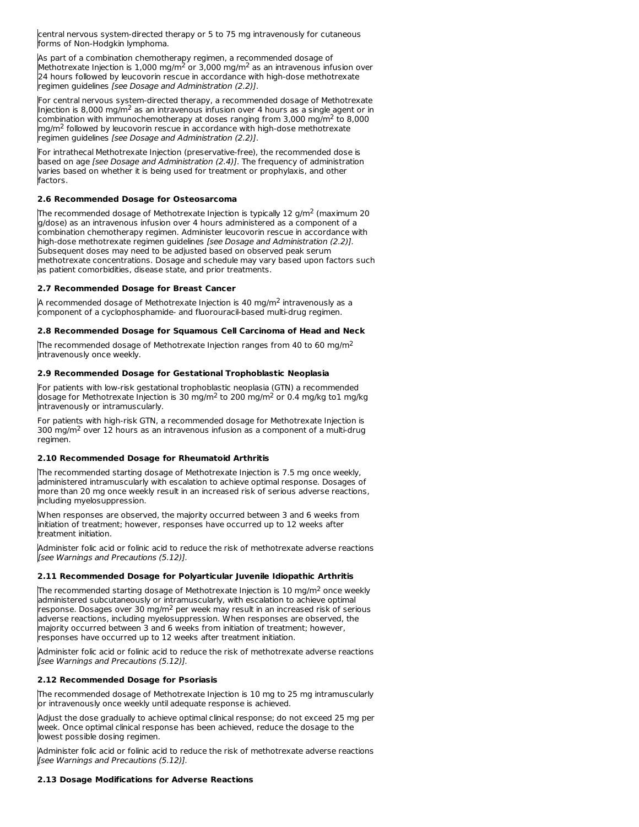central nervous system-directed therapy or 5 to 75 mg intravenously for cutaneous forms of Non-Hodgkin lymphoma.

As part of a combination chemotherapy regimen, a recommended dosage of Methotrexate Injection is 1,000 mg/m<sup>2</sup> or 3,000 mg/m<sup>2</sup> as an intravenous infusion over 24 hours followed by leucovorin rescue in accordance with high-dose methotrexate regimen guidelines [see Dosage and Administration (2.2)].

For central nervous system-directed therapy, a recommended dosage of Methotrexate Injection is 8,000 mg/m<sup>2</sup> as an intravenous infusion over 4 hours as a single agent or in combination with immunochemotherapy at doses ranging from 3,000 mg/m<sup>2</sup> to 8,000 mg/m<sup>2</sup> followed by leucovorin rescue in accordance with high-dose methotrexate regimen guidelines [see Dosage and Administration (2.2)].

For intrathecal Methotrexate Injection (preservative-free), the recommended dose is based on age [see Dosage and Administration (2.4)]. The frequency of administration varies based on whether it is being used for treatment or prophylaxis, and other factors.

## **2.6 Recommended Dosage for Osteosarcoma**

The recommended dosage of Methotrexate Injection is typically 12 g/m<sup>2</sup> (maximum 20  $\,$ g/dose) as an intravenous infusion over 4 hours administered as a component of a combination chemotherapy regimen. Administer leucovorin rescue in accordance with high-dose methotrexate regimen guidelines [see Dosage and Administration (2.2)]. Subsequent doses may need to be adjusted based on observed peak serum methotrexate concentrations. Dosage and schedule may vary based upon factors such as patient comorbidities, disease state, and prior treatments.

### **2.7 Recommended Dosage for Breast Cancer**

A recommended dosage of Methotrexate Injection is 40 mg/m<sup>2</sup> intravenously as a component of a cyclophosphamide- and fluorouracil-based multi-drug regimen.

### **2.8 Recommended Dosage for Squamous Cell Carcinoma of Head and Neck**

The recommended dosage of Methotrexate Injection ranges from 40 to 60 mg/m<sup>2</sup> intravenously once weekly.

### **2.9 Recommended Dosage for Gestational Trophoblastic Neoplasia**

For patients with low-risk gestational trophoblastic neoplasia (GTN) a recommended dosage for Methotrexate Injection is 30 mg/m<sup>2</sup> to 200 mg/m<sup>2</sup> or 0.4 mg/kg to1 mg/kg intravenously or intramuscularly.

For patients with high-risk GTN, a recommended dosage for Methotrexate Injection is  $300$  mg/m<sup>2</sup> over 12 hours as an intravenous infusion as a component of a multi-drug regimen.

#### **2.10 Recommended Dosage for Rheumatoid Arthritis**

The recommended starting dosage of Methotrexate Injection is 7.5 mg once weekly, administered intramuscularly with escalation to achieve optimal response. Dosages of more than 20 mg once weekly result in an increased risk of serious adverse reactions, including myelosuppression.

When responses are observed, the majority occurred between 3 and 6 weeks from initiation of treatment; however, responses have occurred up to 12 weeks after treatment initiation.

Administer folic acid or folinic acid to reduce the risk of methotrexate adverse reactions [see Warnings and Precautions (5.12)].

#### **2.11 Recommended Dosage for Polyarticular Juvenile Idiopathic Arthritis**

The recommended starting dosage of Methotrexate Injection is 10 mg/m<sup>2</sup> once weekly administered subcutaneously or intramuscularly, with escalation to achieve optimal  $r$ esponse. Dosages over 30 mg/m $^2$  per week may result in an increased risk of serious adverse reactions, including myelosuppression. When responses are observed, the majority occurred between 3 and 6 weeks from initiation of treatment; however, responses have occurred up to 12 weeks after treatment initiation.

Administer folic acid or folinic acid to reduce the risk of methotrexate adverse reactions [see Warnings and Precautions (5.12)].

## **2.12 Recommended Dosage for Psoriasis**

The recommended dosage of Methotrexate Injection is 10 mg to 25 mg intramuscularly or intravenously once weekly until adequate response is achieved.

Adjust the dose gradually to achieve optimal clinical response; do not exceed 25 mg per week. Once optimal clinical response has been achieved, reduce the dosage to the lowest possible dosing regimen.

Administer folic acid or folinic acid to reduce the risk of methotrexate adverse reactions [see Warnings and Precautions (5.12)].

## **2.13 Dosage Modifications for Adverse Reactions**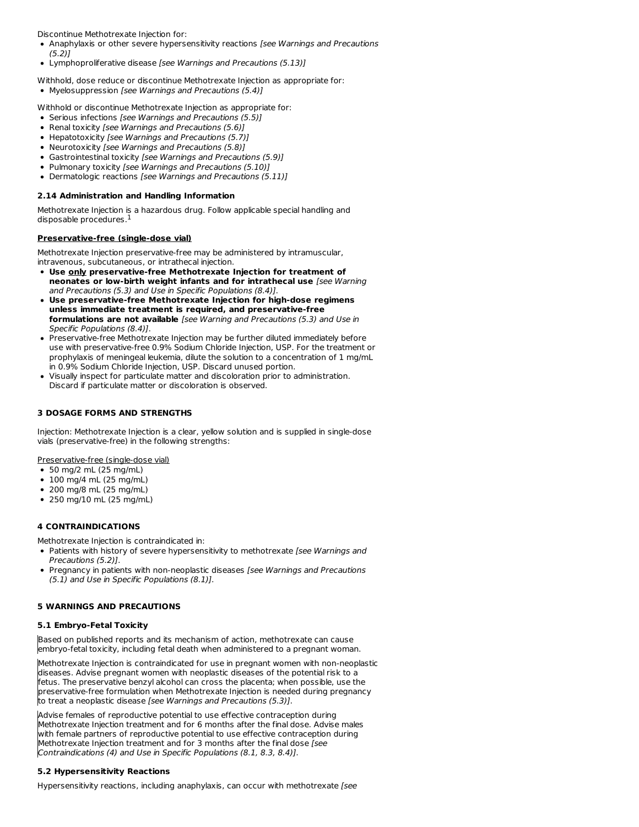Discontinue Methotrexate Injection for:

- Anaphylaxis or other severe hypersensitivity reactions [see Warnings and Precautions  $(5.2)$
- Lymphoproliferative disease [see Warnings and Precautions (5.13)]

Withhold, dose reduce or discontinue Methotrexate Injection as appropriate for:

• Myelosuppression [see Warnings and Precautions (5.4)]

Withhold or discontinue Methotrexate Injection as appropriate for:

- Serious infections [see Warnings and Precautions (5.5)]
- Renal toxicity [see Warnings and Precautions (5.6)]
- Hepatotoxicity [see Warnings and Precautions (5.7)]
- Neurotoxicity [see Warnings and Precautions (5.8)]
- Gastrointestinal toxicity [see Warnings and Precautions (5.9)]
- Pulmonary toxicity [see Warnings and Precautions (5.10)]
- Dermatologic reactions [see Warnings and Precautions (5.11)]

## **2.14 Administration and Handling Information**

Methotrexate Injection is a hazardous drug. Follow applicable special handling and disposable procedures. 1

### **Preservative-free (single-dose vial)**

Methotrexate Injection preservative-free may be administered by intramuscular, intravenous, subcutaneous, or intrathecal injection.

- **Use only preservative-free Methotrexate Injection for treatment of neonates or low-birth weight infants and for intrathecal use** [see Warning and Precautions (5.3) and Use in Specific Populations (8.4)].
- **Use preservative-free Methotrexate Injection for high-dose regimens unless immediate treatment is required, and preservative-free formulations are not available** [see Warning and Precautions (5.3) and Use in Specific Populations (8.4)].
- Preservative-free Methotrexate Injection may be further diluted immediately before use with preservative-free 0.9% Sodium Chloride Injection, USP. For the treatment or prophylaxis of meningeal leukemia, dilute the solution to a concentration of 1 mg/mL in 0.9% Sodium Chloride Injection, USP. Discard unused portion.
- Visually inspect for particulate matter and discoloration prior to administration. Discard if particulate matter or discoloration is observed.

## **3 DOSAGE FORMS AND STRENGTHS**

Injection: Methotrexate Injection is a clear, yellow solution and is supplied in single-dose vials (preservative-free) in the following strengths:

Preservative-free (single-dose vial)

- 50 mg/2 mL (25 mg/mL)
- 100 mg/4 mL (25 mg/mL)
- 200 mg/8 mL (25 mg/mL)
- 250 mg/10 mL (25 mg/mL)

## **4 CONTRAINDICATIONS**

Methotrexate Injection is contraindicated in:

- Patients with history of severe hypersensitivity to methotrexate [see Warnings and Precautions (5.2)].
- Pregnancy in patients with non-neoplastic diseases [see Warnings and Precautions (5.1) and Use in Specific Populations (8.1)].

#### **5 WARNINGS AND PRECAUTIONS**

## **5.1 Embryo-Fetal Toxicity**

Based on published reports and its mechanism of action, methotrexate can cause embryo-fetal toxicity, including fetal death when administered to a pregnant woman.

Methotrexate Injection is contraindicated for use in pregnant women with non-neoplastic diseases. Advise pregnant women with neoplastic diseases of the potential risk to a fetus. The preservative benzyl alcohol can cross the placenta; when possible, use the preservative-free formulation when Methotrexate Injection is needed during pregnancy to treat a neoplastic disease [see Warnings and Precautions (5.3)].

Advise females of reproductive potential to use effective contraception during Methotrexate Injection treatment and for 6 months after the final dose. Advise males with female partners of reproductive potential to use effective contraception during Methotrexate Injection treatment and for 3 months after the final dose [see Contraindications (4) and Use in Specific Populations (8.1, 8.3, 8.4)].

## **5.2 Hypersensitivity Reactions**

Hypersensitivity reactions, including anaphylaxis, can occur with methotrexate [see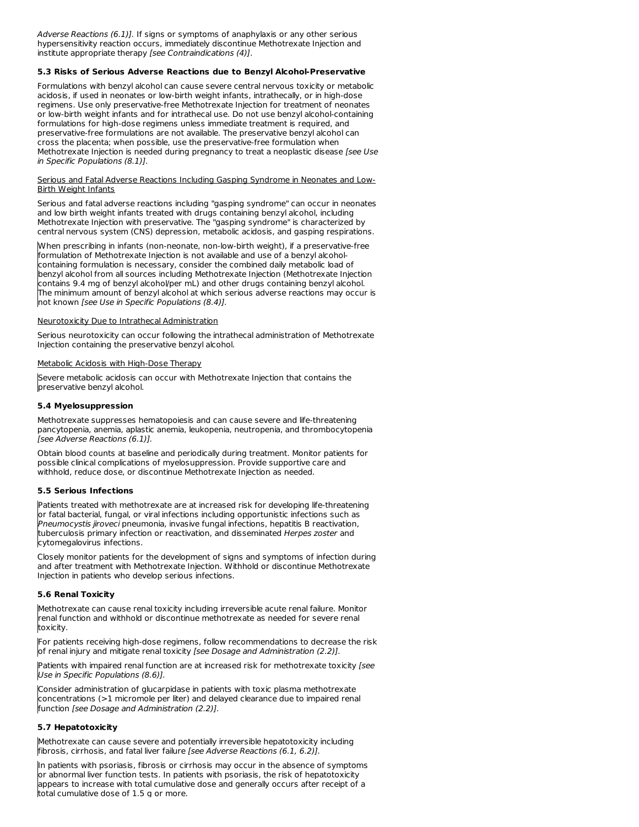Adverse Reactions (6.1)]. If signs or symptoms of anaphylaxis or any other serious hypersensitivity reaction occurs, immediately discontinue Methotrexate Injection and institute appropriate therapy [see Contraindications (4)].

#### **5.3 Risks of Serious Adverse Reactions due to Benzyl Alcohol-Preservative**

Formulations with benzyl alcohol can cause severe central nervous toxicity or metabolic acidosis, if used in neonates or low-birth weight infants, intrathecally, or in high-dose regimens. Use only preservative-free Methotrexate Injection for treatment of neonates or low-birth weight infants and for intrathecal use. Do not use benzyl alcohol-containing formulations for high-dose regimens unless immediate treatment is required, and preservative-free formulations are not available. The preservative benzyl alcohol can cross the placenta; when possible, use the preservative-free formulation when Methotrexate Injection is needed during pregnancy to treat a neoplastic disease [see Use in Specific Populations (8.1)].

#### Serious and Fatal Adverse Reactions Including Gasping Syndrome in Neonates and Low-Birth Weight Infants

Serious and fatal adverse reactions including "gasping syndrome" can occur in neonates and low birth weight infants treated with drugs containing benzyl alcohol, including Methotrexate Injection with preservative. The "gasping syndrome" is characterized by central nervous system (CNS) depression, metabolic acidosis, and gasping respirations.

When prescribing in infants (non-neonate, non-low-birth weight), if a preservative-free formulation of Methotrexate Injection is not available and use of a benzyl alcoholcontaining formulation is necessary, consider the combined daily metabolic load of benzyl alcohol from all sources including Methotrexate Injection (Methotrexate Injection contains 9.4 mg of benzyl alcohol/per mL) and other drugs containing benzyl alcohol. The minimum amount of benzyl alcohol at which serious adverse reactions may occur is not known [see Use in Specific Populations (8.4)].

#### Neurotoxicity Due to Intrathecal Administration

Serious neurotoxicity can occur following the intrathecal administration of Methotrexate Injection containing the preservative benzyl alcohol.

#### Metabolic Acidosis with High-Dose Therapy

Severe metabolic acidosis can occur with Methotrexate Injection that contains the preservative benzyl alcohol.

#### **5.4 Myelosuppression**

Methotrexate suppresses hematopoiesis and can cause severe and life-threatening pancytopenia, anemia, aplastic anemia, leukopenia, neutropenia, and thrombocytopenia [see Adverse Reactions (6.1)].

Obtain blood counts at baseline and periodically during treatment. Monitor patients for possible clinical complications of myelosuppression. Provide supportive care and withhold, reduce dose, or discontinue Methotrexate Injection as needed.

#### **5.5 Serious Infections**

Patients treated with methotrexate are at increased risk for developing life-threatening or fatal bacterial, fungal, or viral infections including opportunistic infections such as Pneumocystis jiroveci pneumonia, invasive fungal infections, hepatitis B reactivation, tuberculosis primary infection or reactivation, and disseminated Herpes zoster and cytomegalovirus infections.

Closely monitor patients for the development of signs and symptoms of infection during and after treatment with Methotrexate Injection. Withhold or discontinue Methotrexate Injection in patients who develop serious infections.

#### **5.6 Renal Toxicity**

Methotrexate can cause renal toxicity including irreversible acute renal failure. Monitor renal function and withhold or discontinue methotrexate as needed for severe renal toxicity.

For patients receiving high-dose regimens, follow recommendations to decrease the risk of renal injury and mitigate renal toxicity [see Dosage and Administration (2.2)].

Patients with impaired renal function are at increased risk for methotrexate toxicity [see Use in Specific Populations (8.6)].

Consider administration of glucarpidase in patients with toxic plasma methotrexate concentrations (>1 micromole per liter) and delayed clearance due to impaired renal function [see Dosage and Administration (2.2)].

### **5.7 Hepatotoxicity**

Methotrexate can cause severe and potentially irreversible hepatotoxicity including fibrosis, cirrhosis, and fatal liver failure [see Adverse Reactions (6.1, 6.2)].

In patients with psoriasis, fibrosis or cirrhosis may occur in the absence of symptoms or abnormal liver function tests. In patients with psoriasis, the risk of hepatotoxicity appears to increase with total cumulative dose and generally occurs after receipt of a total cumulative dose of 1.5 g or more.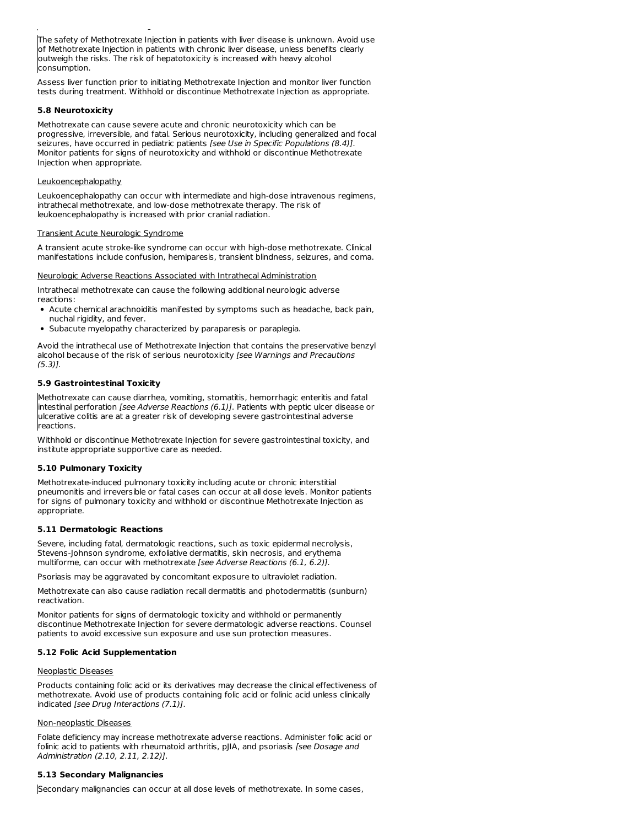The safety of Methotrexate Injection in patients with liver disease is unknown. Avoid use of Methotrexate Injection in patients with chronic liver disease, unless benefits clearly outweigh the risks. The risk of hepatotoxicity is increased with heavy alcohol consumption.

Assess liver function prior to initiating Methotrexate Injection and monitor liver function tests during treatment. Withhold or discontinue Methotrexate Injection as appropriate.

### **5.8 Neurotoxicity**

Methotrexate can cause severe acute and chronic neurotoxicity which can be progressive, irreversible, and fatal. Serious neurotoxicity, including generalized and focal seizures, have occurred in pediatric patients [see Use in Specific Populations (8.4)]. Monitor patients for signs of neurotoxicity and withhold or discontinue Methotrexate Injection when appropriate.

#### Leukoencephalopathy

Leukoencephalopathy can occur with intermediate and high-dose intravenous regimens, intrathecal methotrexate, and low-dose methotrexate therapy. The risk of leukoencephalopathy is increased with prior cranial radiation.

#### Transient Acute Neurologic Syndrome

total cumulative dose of 1.5 g or more.

A transient acute stroke-like syndrome can occur with high-dose methotrexate. Clinical manifestations include confusion, hemiparesis, transient blindness, seizures, and coma.

#### Neurologic Adverse Reactions Associated with Intrathecal Administration

Intrathecal methotrexate can cause the following additional neurologic adverse reactions:

- Acute chemical arachnoiditis manifested by symptoms such as headache, back pain, nuchal rigidity, and fever.
- Subacute myelopathy characterized by paraparesis or paraplegia.

Avoid the intrathecal use of Methotrexate Injection that contains the preservative benzyl alcohol because of the risk of serious neurotoxicity [see Warnings and Precautions (5.3)].

#### **5.9 Gastrointestinal Toxicity**

Methotrexate can cause diarrhea, vomiting, stomatitis, hemorrhagic enteritis and fatal intestinal perforation [see Adverse Reactions (6.1)]. Patients with peptic ulcer disease or ulcerative colitis are at a greater risk of developing severe gastrointestinal adverse reactions.

Withhold or discontinue Methotrexate Injection for severe gastrointestinal toxicity, and institute appropriate supportive care as needed.

#### **5.10 Pulmonary Toxicity**

Methotrexate-induced pulmonary toxicity including acute or chronic interstitial pneumonitis and irreversible or fatal cases can occur at all dose levels. Monitor patients for signs of pulmonary toxicity and withhold or discontinue Methotrexate Injection as appropriate.

#### **5.11 Dermatologic Reactions**

Severe, including fatal, dermatologic reactions, such as toxic epidermal necrolysis, Stevens-Johnson syndrome, exfoliative dermatitis, skin necrosis, and erythema multiforme, can occur with methotrexate [see Adverse Reactions (6.1, 6.2)].

Psoriasis may be aggravated by concomitant exposure to ultraviolet radiation.

Methotrexate can also cause radiation recall dermatitis and photodermatitis (sunburn) reactivation.

Monitor patients for signs of dermatologic toxicity and withhold or permanently discontinue Methotrexate Injection for severe dermatologic adverse reactions. Counsel patients to avoid excessive sun exposure and use sun protection measures.

## **5.12 Folic Acid Supplementation**

#### Neoplastic Diseases

Products containing folic acid or its derivatives may decrease the clinical effectiveness of methotrexate. Avoid use of products containing folic acid or folinic acid unless clinically indicated [see Drug Interactions (7.1)].

#### Non-neoplastic Diseases

Folate deficiency may increase methotrexate adverse reactions. Administer folic acid or folinic acid to patients with rheumatoid arthritis, pJIA, and psoriasis [see Dosage and Administration (2.10, 2.11, 2.12)].

## **5.13 Secondary Malignancies**

Secondary malignancies can occur at all dose levels of methotrexate. In some cases,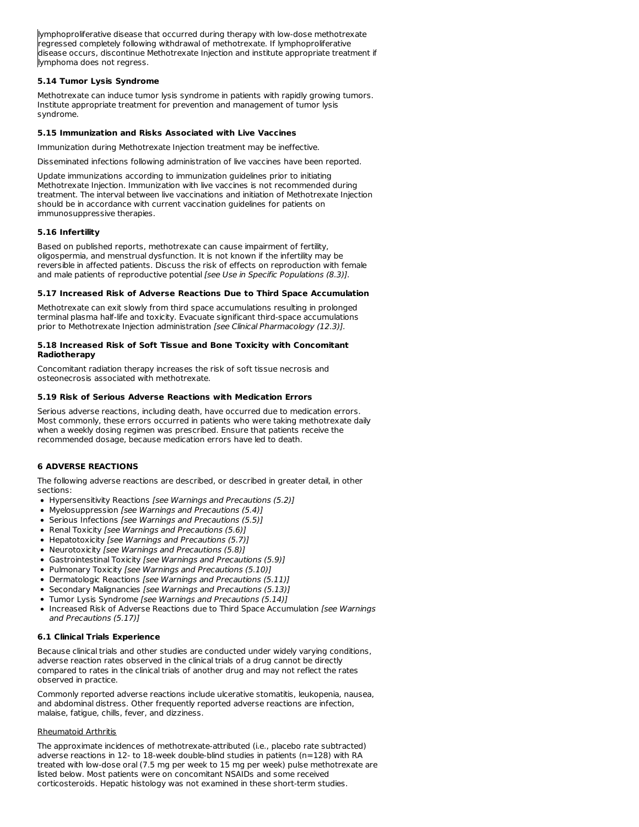lymphoproliferative disease that occurred during therapy with low-dose methotrexate regressed completely following withdrawal of methotrexate. If lymphoproliferative disease occurs, discontinue Methotrexate Injection and institute appropriate treatment if lymphoma does not regress.

### **5.14 Tumor Lysis Syndrome**

Methotrexate can induce tumor lysis syndrome in patients with rapidly growing tumors. Institute appropriate treatment for prevention and management of tumor lysis syndrome.

### **5.15 Immunization and Risks Associated with Live Vaccines**

Immunization during Methotrexate Injection treatment may be ineffective.

Disseminated infections following administration of live vaccines have been reported.

Update immunizations according to immunization guidelines prior to initiating Methotrexate Injection. Immunization with live vaccines is not recommended during treatment. The interval between live vaccinations and initiation of Methotrexate Injection should be in accordance with current vaccination guidelines for patients on immunosuppressive therapies.

### **5.16 Infertility**

Based on published reports, methotrexate can cause impairment of fertility, oligospermia, and menstrual dysfunction. It is not known if the infertility may be reversible in affected patients. Discuss the risk of effects on reproduction with female and male patients of reproductive potential [see Use in Specific Populations (8.3)].

### **5.17 Increased Risk of Adverse Reactions Due to Third Space Accumulation**

Methotrexate can exit slowly from third space accumulations resulting in prolonged terminal plasma half-life and toxicity. Evacuate significant third-space accumulations prior to Methotrexate Injection administration [see Clinical Pharmacology (12.3)].

#### **5.18 Increased Risk of Soft Tissue and Bone Toxicity with Concomitant Radiotherapy**

Concomitant radiation therapy increases the risk of soft tissue necrosis and osteonecrosis associated with methotrexate.

### **5.19 Risk of Serious Adverse Reactions with Medication Errors**

Serious adverse reactions, including death, have occurred due to medication errors. Most commonly, these errors occurred in patients who were taking methotrexate daily when a weekly dosing regimen was prescribed. Ensure that patients receive the recommended dosage, because medication errors have led to death.

## **6 ADVERSE REACTIONS**

The following adverse reactions are described, or described in greater detail, in other sections:

- Hypersensitivity Reactions [see Warnings and Precautions (5.2)]
- Myelosuppression [see Warnings and Precautions (5.4)]
- Serious Infections [see Warnings and Precautions (5.5)]
- Renal Toxicity [see Warnings and Precautions (5.6)]
- Hepatotoxicity [see Warnings and Precautions (5.7)]
- Neurotoxicity [see Warnings and Precautions (5.8)]
- Gastrointestinal Toxicity [see Warnings and Precautions (5.9)]
- Pulmonary Toxicity [see Warnings and Precautions (5.10)]
- Dermatologic Reactions [see Warnings and Precautions (5.11)]
- Secondary Malignancies [see Warnings and Precautions (5.13)]
- Tumor Lysis Syndrome [see Warnings and Precautions (5.14)]
- Increased Risk of Adverse Reactions due to Third Space Accumulation [see Warnings and Precautions (5.17)]

#### **6.1 Clinical Trials Experience**

Because clinical trials and other studies are conducted under widely varying conditions, adverse reaction rates observed in the clinical trials of a drug cannot be directly compared to rates in the clinical trials of another drug and may not reflect the rates observed in practice.

Commonly reported adverse reactions include ulcerative stomatitis, leukopenia, nausea, and abdominal distress. Other frequently reported adverse reactions are infection, malaise, fatigue, chills, fever, and dizziness.

#### Rheumatoid Arthritis

The approximate incidences of methotrexate-attributed (i.e., placebo rate subtracted) adverse reactions in 12- to 18-week double-blind studies in patients (n=128) with RA treated with low-dose oral (7.5 mg per week to 15 mg per week) pulse methotrexate are listed below. Most patients were on concomitant NSAIDs and some received corticosteroids. Hepatic histology was not examined in these short-term studies.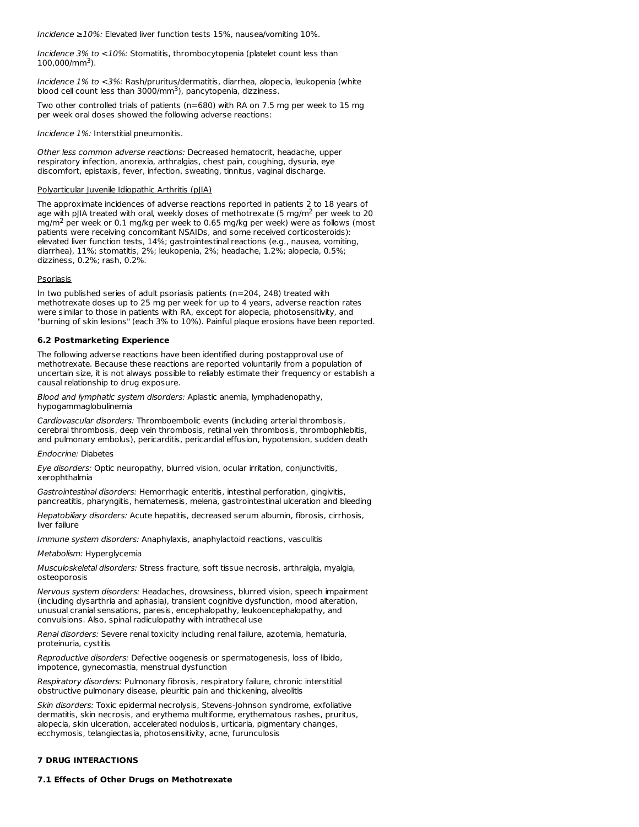Incidence ≥10%: Elevated liver function tests 15%, nausea/vomiting 10%.

Incidence 3% to <10%: Stomatitis, thrombocytopenia (platelet count less than  $100,000$ /mm<sup>3</sup>).

Incidence 1% to <3%: Rash/pruritus/dermatitis, diarrhea, alopecia, leukopenia (white blood cell count less than  $3000/\text{mm}^3$ ), pancytopenia, dizziness.

Two other controlled trials of patients ( $n=680$ ) with RA on 7.5 mg per week to 15 mg per week oral doses showed the following adverse reactions:

Incidence 1%: Interstitial pneumonitis.

Other less common adverse reactions: Decreased hematocrit, headache, upper respiratory infection, anorexia, arthralgias, chest pain, coughing, dysuria, eye discomfort, epistaxis, fever, infection, sweating, tinnitus, vaginal discharge.

#### Polyarticular Juvenile Idiopathic Arthritis (pJIA)

The approximate incidences of adverse reactions reported in patients 2 to 18 years of age with pJIA treated with oral, weekly doses of methotrexate (5 mg/m<sup>2</sup> per week to 20 mg/m<sup>2</sup> per week or 0.1 mg/kg per week to 0.65 mg/kg per week) were as follows (most patients were receiving concomitant NSAIDs, and some received corticosteroids): elevated liver function tests, 14%; gastrointestinal reactions (e.g., nausea, vomiting, diarrhea), 11%; stomatitis, 2%; leukopenia, 2%; headache, 1.2%; alopecia, 0.5%; dizziness, 0.2%; rash, 0.2%.

#### Psoriasis

In two published series of adult psoriasis patients (n=204, 248) treated with methotrexate doses up to 25 mg per week for up to 4 years, adverse reaction rates were similar to those in patients with RA, except for alopecia, photosensitivity, and "burning of skin lesions" (each 3% to 10%). Painful plaque erosions have been reported.

## **6.2 Postmarketing Experience**

The following adverse reactions have been identified during postapproval use of methotrexate. Because these reactions are reported voluntarily from a population of uncertain size, it is not always possible to reliably estimate their frequency or establish a causal relationship to drug exposure.

Blood and lymphatic system disorders: Aplastic anemia, lymphadenopathy, hypogammaglobulinemia

Cardiovascular disorders: Thromboembolic events (including arterial thrombosis, cerebral thrombosis, deep vein thrombosis, retinal vein thrombosis, thrombophlebitis, and pulmonary embolus), pericarditis, pericardial effusion, hypotension, sudden death

#### Endocrine: Diabetes

Eye disorders: Optic neuropathy, blurred vision, ocular irritation, conjunctivitis, xerophthalmia

Gastrointestinal disorders: Hemorrhagic enteritis, intestinal perforation, gingivitis, pancreatitis, pharyngitis, hematemesis, melena, gastrointestinal ulceration and bleeding

Hepatobiliary disorders: Acute hepatitis, decreased serum albumin, fibrosis, cirrhosis, liver failure

Immune system disorders: Anaphylaxis, anaphylactoid reactions, vasculitis

#### Metabolism: Hyperglycemia

Musculoskeletal disorders: Stress fracture, soft tissue necrosis, arthralgia, myalgia, osteoporosis

Nervous system disorders: Headaches, drowsiness, blurred vision, speech impairment (including dysarthria and aphasia), transient cognitive dysfunction, mood alteration, unusual cranial sensations, paresis, encephalopathy, leukoencephalopathy, and convulsions. Also, spinal radiculopathy with intrathecal use

Renal disorders: Severe renal toxicity including renal failure, azotemia, hematuria, proteinuria, cystitis

Reproductive disorders: Defective oogenesis or spermatogenesis, loss of libido, impotence, gynecomastia, menstrual dysfunction

Respiratory disorders: Pulmonary fibrosis, respiratory failure, chronic interstitial obstructive pulmonary disease, pleuritic pain and thickening, alveolitis

Skin disorders: Toxic epidermal necrolysis, Stevens-Johnson syndrome, exfoliative dermatitis, skin necrosis, and erythema multiforme, erythematous rashes, pruritus, alopecia, skin ulceration, accelerated nodulosis, urticaria, pigmentary changes, ecchymosis, telangiectasia, photosensitivity, acne, furunculosis

#### **7 DRUG INTERACTIONS**

#### **7.1 Effects of Other Drugs on Methotrexate**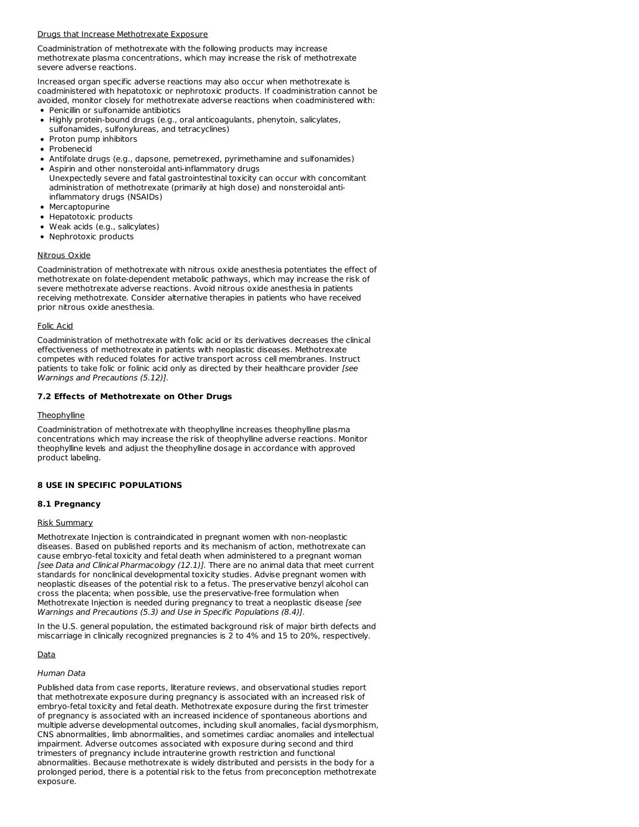### Drugs that Increase Methotrexate Exposure

Coadministration of methotrexate with the following products may increase methotrexate plasma concentrations, which may increase the risk of methotrexate severe adverse reactions.

Increased organ specific adverse reactions may also occur when methotrexate is coadministered with hepatotoxic or nephrotoxic products. If coadministration cannot be avoided, monitor closely for methotrexate adverse reactions when coadministered with:

- Penicillin or sulfonamide antibiotics
- Highly protein-bound drugs (e.g., oral anticoagulants, phenytoin, salicylates, sulfonamides, sulfonylureas, and tetracyclines)
- Proton pump inhibitors
- Probenecid
- Antifolate drugs (e.g., dapsone, pemetrexed, pyrimethamine and sulfonamides)
- Aspirin and other nonsteroidal anti-inflammatory drugs Unexpectedly severe and fatal gastrointestinal toxicity can occur with concomitant administration of methotrexate (primarily at high dose) and nonsteroidal antiinflammatory drugs (NSAIDs)
- Mercaptopurine
- Hepatotoxic products
- Weak acids (e.g., salicylates)
- Nephrotoxic products

### Nitrous Oxide

Coadministration of methotrexate with nitrous oxide anesthesia potentiates the effect of methotrexate on folate-dependent metabolic pathways, which may increase the risk of severe methotrexate adverse reactions. Avoid nitrous oxide anesthesia in patients receiving methotrexate. Consider alternative therapies in patients who have received prior nitrous oxide anesthesia.

### Folic Acid

Coadministration of methotrexate with folic acid or its derivatives decreases the clinical effectiveness of methotrexate in patients with neoplastic diseases. Methotrexate competes with reduced folates for active transport across cell membranes. Instruct patients to take folic or folinic acid only as directed by their healthcare provider [see Warnings and Precautions (5.12)].

### **7.2 Effects of Methotrexate on Other Drugs**

#### **Theophylline**

Coadministration of methotrexate with theophylline increases theophylline plasma concentrations which may increase the risk of theophylline adverse reactions. Monitor theophylline levels and adjust the theophylline dosage in accordance with approved product labeling.

#### **8 USE IN SPECIFIC POPULATIONS**

## **8.1 Pregnancy**

#### Risk Summary

Methotrexate Injection is contraindicated in pregnant women with non-neoplastic diseases. Based on published reports and its mechanism of action, methotrexate can cause embryo-fetal toxicity and fetal death when administered to a pregnant woman [see Data and Clinical Pharmacology (12.1)]. There are no animal data that meet current standards for nonclinical developmental toxicity studies. Advise pregnant women with neoplastic diseases of the potential risk to a fetus. The preservative benzyl alcohol can cross the placenta; when possible, use the preservative-free formulation when Methotrexate Injection is needed during pregnancy to treat a neoplastic disease [see Warnings and Precautions (5.3) and Use in Specific Populations (8.4)].

In the U.S. general population, the estimated background risk of major birth defects and miscarriage in clinically recognized pregnancies is 2 to 4% and 15 to 20%, respectively.

#### Data

#### Human Data

Published data from case reports, literature reviews, and observational studies report that methotrexate exposure during pregnancy is associated with an increased risk of embryo-fetal toxicity and fetal death. Methotrexate exposure during the first trimester of pregnancy is associated with an increased incidence of spontaneous abortions and multiple adverse developmental outcomes, including skull anomalies, facial dysmorphism, CNS abnormalities, limb abnormalities, and sometimes cardiac anomalies and intellectual impairment. Adverse outcomes associated with exposure during second and third trimesters of pregnancy include intrauterine growth restriction and functional abnormalities. Because methotrexate is widely distributed and persists in the body for a prolonged period, there is a potential risk to the fetus from preconception methotrexate exposure.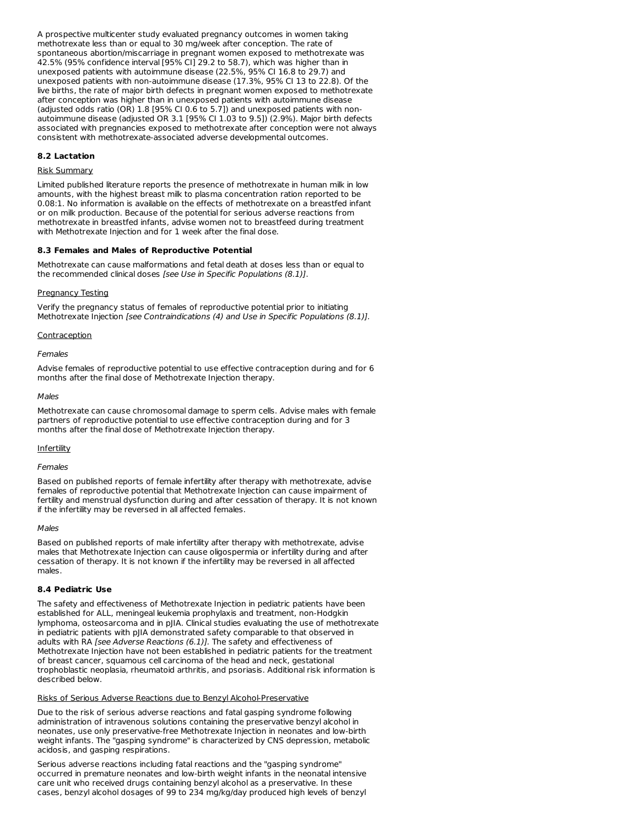A prospective multicenter study evaluated pregnancy outcomes in women taking methotrexate less than or equal to 30 mg/week after conception. The rate of spontaneous abortion/miscarriage in pregnant women exposed to methotrexate was 42.5% (95% confidence interval [95% CI] 29.2 to 58.7), which was higher than in unexposed patients with autoimmune disease (22.5%, 95% CI 16.8 to 29.7) and unexposed patients with non-autoimmune disease (17.3%, 95% CI 13 to 22.8). Of the live births, the rate of major birth defects in pregnant women exposed to methotrexate after conception was higher than in unexposed patients with autoimmune disease (adjusted odds ratio (OR) 1.8 [95% CI 0.6 to 5.7]) and unexposed patients with nonautoimmune disease (adjusted OR 3.1 [95% CI 1.03 to 9.5]) (2.9%). Major birth defects associated with pregnancies exposed to methotrexate after conception were not always consistent with methotrexate-associated adverse developmental outcomes.

### **8.2 Lactation**

### Risk Summary

Limited published literature reports the presence of methotrexate in human milk in low amounts, with the highest breast milk to plasma concentration ration reported to be 0.08:1. No information is available on the effects of methotrexate on a breastfed infant or on milk production. Because of the potential for serious adverse reactions from methotrexate in breastfed infants, advise women not to breastfeed during treatment with Methotrexate Injection and for 1 week after the final dose.

#### **8.3 Females and Males of Reproductive Potential**

Methotrexate can cause malformations and fetal death at doses less than or equal to the recommended clinical doses [see Use in Specific Populations (8.1)].

#### Pregnancy Testing

Verify the pregnancy status of females of reproductive potential prior to initiating Methotrexate Injection [see Contraindications (4) and Use in Specific Populations (8.1)].

#### **Contraception**

#### Females

Advise females of reproductive potential to use effective contraception during and for 6 months after the final dose of Methotrexate Injection therapy.

#### Males

Methotrexate can cause chromosomal damage to sperm cells. Advise males with female partners of reproductive potential to use effective contraception during and for 3 months after the final dose of Methotrexate Injection therapy.

#### **Infertility**

Females

Based on published reports of female infertility after therapy with methotrexate, advise females of reproductive potential that Methotrexate Injection can cause impairment of fertility and menstrual dysfunction during and after cessation of therapy. It is not known if the infertility may be reversed in all affected females.

#### Males

Based on published reports of male infertility after therapy with methotrexate, advise males that Methotrexate Injection can cause oligospermia or infertility during and after cessation of therapy. It is not known if the infertility may be reversed in all affected males.

### **8.4 Pediatric Use**

The safety and effectiveness of Methotrexate Injection in pediatric patients have been established for ALL, meningeal leukemia prophylaxis and treatment, non-Hodgkin lymphoma, osteosarcoma and in pJIA. Clinical studies evaluating the use of methotrexate in pediatric patients with pJIA demonstrated safety comparable to that observed in adults with RA [see Adverse Reactions (6.1)]. The safety and effectiveness of Methotrexate Injection have not been established in pediatric patients for the treatment of breast cancer, squamous cell carcinoma of the head and neck, gestational trophoblastic neoplasia, rheumatoid arthritis, and psoriasis. Additional risk information is described below.

#### Risks of Serious Adverse Reactions due to Benzyl Alcohol-Preservative

Due to the risk of serious adverse reactions and fatal gasping syndrome following administration of intravenous solutions containing the preservative benzyl alcohol in neonates, use only preservative-free Methotrexate Injection in neonates and low-birth weight infants. The "gasping syndrome" is characterized by CNS depression, metabolic acidosis, and gasping respirations.

Serious adverse reactions including fatal reactions and the "gasping syndrome" occurred in premature neonates and low-birth weight infants in the neonatal intensive care unit who received drugs containing benzyl alcohol as a preservative. In these cases, benzyl alcohol dosages of 99 to 234 mg/kg/day produced high levels of benzyl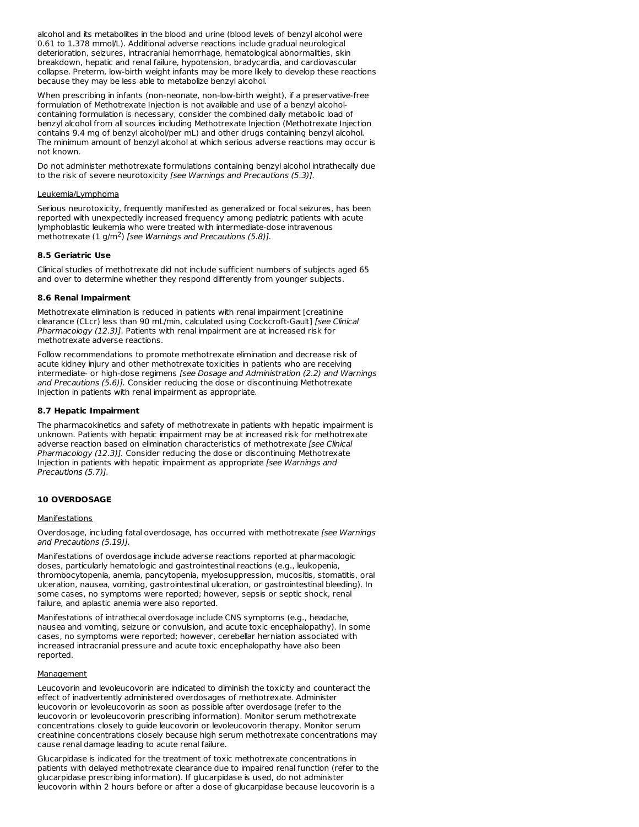alcohol and its metabolites in the blood and urine (blood levels of benzyl alcohol were 0.61 to 1.378 mmol/L). Additional adverse reactions include gradual neurological deterioration, seizures, intracranial hemorrhage, hematological abnormalities, skin breakdown, hepatic and renal failure, hypotension, bradycardia, and cardiovascular collapse. Preterm, low-birth weight infants may be more likely to develop these reactions because they may be less able to metabolize benzyl alcohol.

When prescribing in infants (non-neonate, non-low-birth weight), if a preservative-free formulation of Methotrexate Injection is not available and use of a benzyl alcoholcontaining formulation is necessary, consider the combined daily metabolic load of benzyl alcohol from all sources including Methotrexate Injection (Methotrexate Injection contains 9.4 mg of benzyl alcohol/per mL) and other drugs containing benzyl alcohol. The minimum amount of benzyl alcohol at which serious adverse reactions may occur is not known.

Do not administer methotrexate formulations containing benzyl alcohol intrathecally due to the risk of severe neurotoxicity [see Warnings and Precautions (5.3)].

#### Leukemia/Lymphoma

Serious neurotoxicity, frequently manifested as generalized or focal seizures, has been reported with unexpectedly increased frequency among pediatric patients with acute lymphoblastic leukemia who were treated with intermediate-dose intravenous methotrexate  $(1 g/m^2)$  [see Warnings and Precautions (5.8)].

### **8.5 Geriatric Use**

Clinical studies of methotrexate did not include sufficient numbers of subjects aged 65 and over to determine whether they respond differently from younger subjects.

### **8.6 Renal Impairment**

Methotrexate elimination is reduced in patients with renal impairment [creatinine clearance (CLcr) less than 90 mL/min, calculated using Cockcroft-Gault] [see Clinical Pharmacology (12.3)]. Patients with renal impairment are at increased risk for methotrexate adverse reactions.

Follow recommendations to promote methotrexate elimination and decrease risk of acute kidney injury and other methotrexate toxicities in patients who are receiving intermediate- or high-dose regimens [see Dosage and Administration (2.2) and Warnings and Precautions (5.6)]. Consider reducing the dose or discontinuing Methotrexate Injection in patients with renal impairment as appropriate.

## **8.7 Hepatic Impairment**

The pharmacokinetics and safety of methotrexate in patients with hepatic impairment is unknown. Patients with hepatic impairment may be at increased risk for methotrexate adverse reaction based on elimination characteristics of methotrexate [see Clinical Pharmacology (12.3)]. Consider reducing the dose or discontinuing Methotrexate Injection in patients with hepatic impairment as appropriate [see Warnings and Precautions (5.7)].

#### **10 OVERDOSAGE**

#### **Manifestations**

Overdosage, including fatal overdosage, has occurred with methotrexate [see Warnings and Precautions (5.19)].

Manifestations of overdosage include adverse reactions reported at pharmacologic doses, particularly hematologic and gastrointestinal reactions (e.g., leukopenia, thrombocytopenia, anemia, pancytopenia, myelosuppression, mucositis, stomatitis, oral ulceration, nausea, vomiting, gastrointestinal ulceration, or gastrointestinal bleeding). In some cases, no symptoms were reported; however, sepsis or septic shock, renal failure, and aplastic anemia were also reported.

Manifestations of intrathecal overdosage include CNS symptoms (e.g., headache, nausea and vomiting, seizure or convulsion, and acute toxic encephalopathy). In some cases, no symptoms were reported; however, cerebellar herniation associated with increased intracranial pressure and acute toxic encephalopathy have also been reported.

#### **Management**

Leucovorin and levoleucovorin are indicated to diminish the toxicity and counteract the effect of inadvertently administered overdosages of methotrexate. Administer leucovorin or levoleucovorin as soon as possible after overdosage (refer to the leucovorin or levoleucovorin prescribing information). Monitor serum methotrexate concentrations closely to guide leucovorin or levoleucovorin therapy. Monitor serum creatinine concentrations closely because high serum methotrexate concentrations may cause renal damage leading to acute renal failure.

Glucarpidase is indicated for the treatment of toxic methotrexate concentrations in patients with delayed methotrexate clearance due to impaired renal function (refer to the glucarpidase prescribing information). If glucarpidase is used, do not administer leucovorin within 2 hours before or after a dose of glucarpidase because leucovorin is a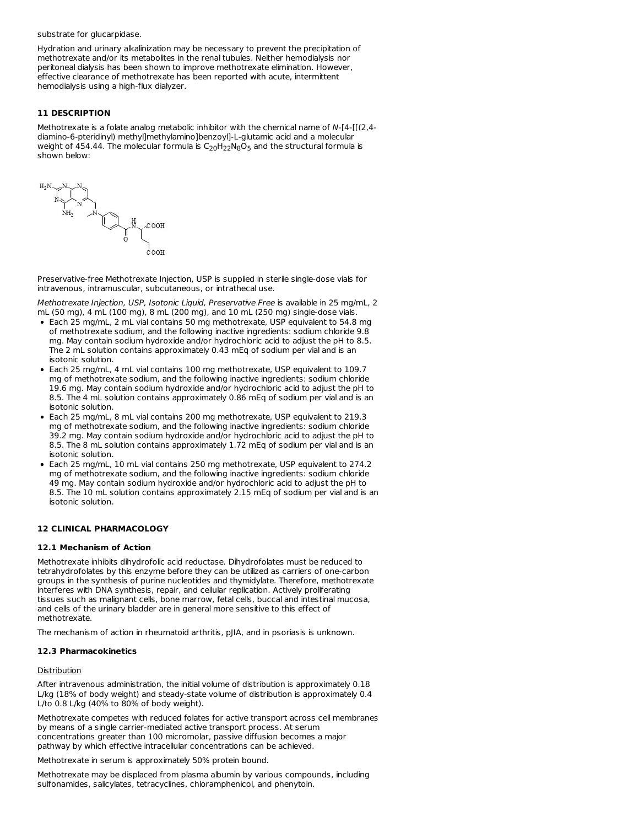#### substrate for glucarpidase.

Hydration and urinary alkalinization may be necessary to prevent the precipitation of methotrexate and/or its metabolites in the renal tubules. Neither hemodialysis nor peritoneal dialysis has been shown to improve methotrexate elimination. However, effective clearance of methotrexate has been reported with acute, intermittent hemodialysis using a high-flux dialyzer.

## **11 DESCRIPTION**

Methotrexate is a folate analog metabolic inhibitor with the chemical name of N-[4-[[(2,4 diamino-6-pteridinyl) methyl]methylamino]benzoyl]-L-glutamic acid and a molecular weight of 454.44. The molecular formula is  $C_{20}H_{22}N_8O_5$  and the structural formula is shown below:



Preservative-free Methotrexate Injection, USP is supplied in sterile single-dose vials for intravenous, intramuscular, subcutaneous, or intrathecal use.

Methotrexate Injection, USP, Isotonic Liquid, Preservative Free is available in 25 mg/mL, 2 mL (50 mg), 4 mL (100 mg), 8 mL (200 mg), and 10 mL (250 mg) single-dose vials.

- Each 25 mg/mL, 2 mL vial contains 50 mg methotrexate, USP equivalent to 54.8 mg of methotrexate sodium, and the following inactive ingredients: sodium chloride 9.8 mg. May contain sodium hydroxide and/or hydrochloric acid to adjust the pH to 8.5. The 2 mL solution contains approximately 0.43 mEq of sodium per vial and is an isotonic solution.
- Each 25 mg/mL, 4 mL vial contains 100 mg methotrexate, USP equivalent to 109.7 mg of methotrexate sodium, and the following inactive ingredients: sodium chloride 19.6 mg. May contain sodium hydroxide and/or hydrochloric acid to adjust the pH to 8.5. The 4 mL solution contains approximately 0.86 mEq of sodium per vial and is an isotonic solution.
- Each 25 mg/mL, 8 mL vial contains 200 mg methotrexate, USP equivalent to 219.3 mg of methotrexate sodium, and the following inactive ingredients: sodium chloride 39.2 mg. May contain sodium hydroxide and/or hydrochloric acid to adjust the pH to 8.5. The 8 mL solution contains approximately 1.72 mEq of sodium per vial and is an isotonic solution.
- Each 25 mg/mL, 10 mL vial contains 250 mg methotrexate, USP equivalent to 274.2 mg of methotrexate sodium, and the following inactive ingredients: sodium chloride 49 mg. May contain sodium hydroxide and/or hydrochloric acid to adjust the pH to 8.5. The 10 mL solution contains approximately 2.15 mEq of sodium per vial and is an isotonic solution.

#### **12 CLINICAL PHARMACOLOGY**

#### **12.1 Mechanism of Action**

Methotrexate inhibits dihydrofolic acid reductase. Dihydrofolates must be reduced to tetrahydrofolates by this enzyme before they can be utilized as carriers of one-carbon groups in the synthesis of purine nucleotides and thymidylate. Therefore, methotrexate interferes with DNA synthesis, repair, and cellular replication. Actively proliferating tissues such as malignant cells, bone marrow, fetal cells, buccal and intestinal mucosa, and cells of the urinary bladder are in general more sensitive to this effect of methotrexate.

The mechanism of action in rheumatoid arthritis, pJIA, and in psoriasis is unknown.

#### **12.3 Pharmacokinetics**

#### Distribution

After intravenous administration, the initial volume of distribution is approximately 0.18 L/kg (18% of body weight) and steady-state volume of distribution is approximately 0.4 L/to 0.8 L/kg (40% to 80% of body weight).

Methotrexate competes with reduced folates for active transport across cell membranes by means of a single carrier-mediated active transport process. At serum concentrations greater than 100 micromolar, passive diffusion becomes a major pathway by which effective intracellular concentrations can be achieved.

Methotrexate in serum is approximately 50% protein bound.

Methotrexate may be displaced from plasma albumin by various compounds, including sulfonamides, salicylates, tetracyclines, chloramphenicol, and phenytoin.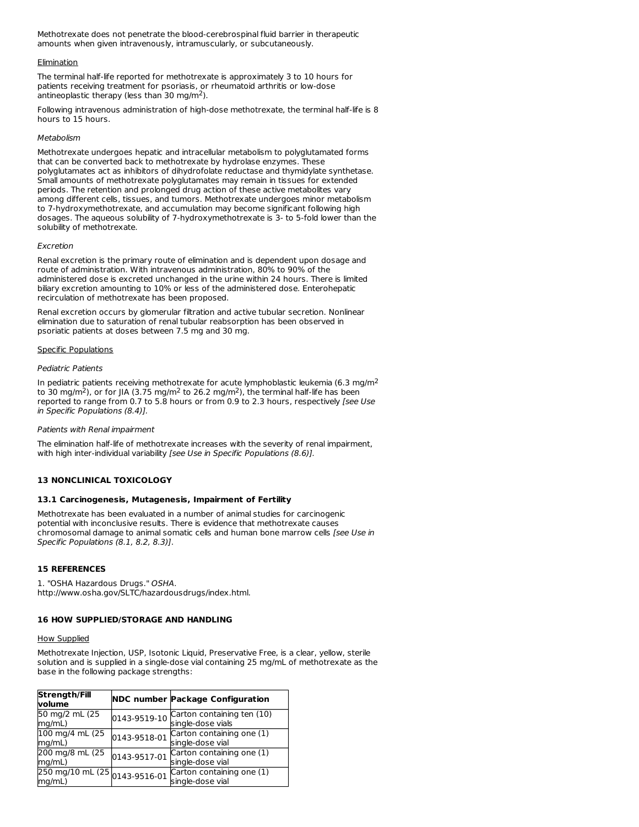Methotrexate does not penetrate the blood-cerebrospinal fluid barrier in therapeutic amounts when given intravenously, intramuscularly, or subcutaneously.

### **Elimination**

The terminal half-life reported for methotrexate is approximately 3 to 10 hours for patients receiving treatment for psoriasis, or rheumatoid arthritis or low-dose antineoplastic therapy (less than 30 mg/m<sup>2</sup>).

Following intravenous administration of high-dose methotrexate, the terminal half-life is 8 hours to 15 hours.

### Metabolism

Methotrexate undergoes hepatic and intracellular metabolism to polyglutamated forms that can be converted back to methotrexate by hydrolase enzymes. These polyglutamates act as inhibitors of dihydrofolate reductase and thymidylate synthetase. Small amounts of methotrexate polyglutamates may remain in tissues for extended periods. The retention and prolonged drug action of these active metabolites vary among different cells, tissues, and tumors. Methotrexate undergoes minor metabolism to 7-hydroxymethotrexate, and accumulation may become significant following high dosages. The aqueous solubility of 7-hydroxymethotrexate is 3- to 5-fold lower than the solubility of methotrexate.

#### Excretion

Renal excretion is the primary route of elimination and is dependent upon dosage and route of administration. With intravenous administration, 80% to 90% of the administered dose is excreted unchanged in the urine within 24 hours. There is limited biliary excretion amounting to 10% or less of the administered dose. Enterohepatic recirculation of methotrexate has been proposed.

Renal excretion occurs by glomerular filtration and active tubular secretion. Nonlinear elimination due to saturation of renal tubular reabsorption has been observed in psoriatic patients at doses between 7.5 mg and 30 mg.

### Specific Populations

### Pediatric Patients

In pediatric patients receiving methotrexate for acute lymphoblastic leukemia (6.3 mg/m<sup>2</sup> to 30 mg/m<sup>2</sup>), or for JIA (3.75 mg/m<sup>2</sup> to 26.2 mg/m<sup>2</sup>), the terminal half-life has been reported to range from 0.7 to 5.8 hours or from 0.9 to 2.3 hours, respectively [see Use in Specific Populations (8.4)].

#### Patients with Renal impairment

The elimination half-life of methotrexate increases with the severity of renal impairment, with high inter-individual variability [see Use in Specific Populations (8.6)].

## **13 NONCLINICAL TOXICOLOGY**

## **13.1 Carcinogenesis, Mutagenesis, Impairment of Fertility**

Methotrexate has been evaluated in a number of animal studies for carcinogenic potential with inconclusive results. There is evidence that methotrexate causes chromosomal damage to animal somatic cells and human bone marrow cells [see Use in Specific Populations (8.1, 8.2, 8.3)].

## **15 REFERENCES**

1. "OSHA Hazardous Drugs." OSHA. http://www.osha.gov/SLTC/hazardousdrugs/index.html.

## **16 HOW SUPPLIED/STORAGE AND HANDLING**

#### **How Supplied**

Methotrexate Injection, USP, Isotonic Liquid, Preservative Free, is a clear, yellow, sterile solution and is supplied in a single-dose vial containing 25 mg/mL of methotrexate as the base in the following package strengths:

| <b>Strength/Fill</b><br>volume | <b>NDC number Package Configuration</b>                                                              |
|--------------------------------|------------------------------------------------------------------------------------------------------|
| 50 mg/2 mL (25<br>mq/mL)       | $0143-9519-10$ Carton containing ten $(10)$<br>single-dose vials                                     |
| 100 mg/4 mL (25<br>mq/mL)      | $0143-9518-01$ Carton containing one (1)<br>single-dose vial                                         |
| 200 mg/8 mL (25<br>mq/mL)      | $0143-9517-01$ Carton containing one (1)<br>single-dose vial                                         |
| mq/mL)                         | $250 \text{ mg}/10 \text{ mL}$ (25 $0.143 - 9516 - 01$ Carton containing one (1)<br>single-dose vial |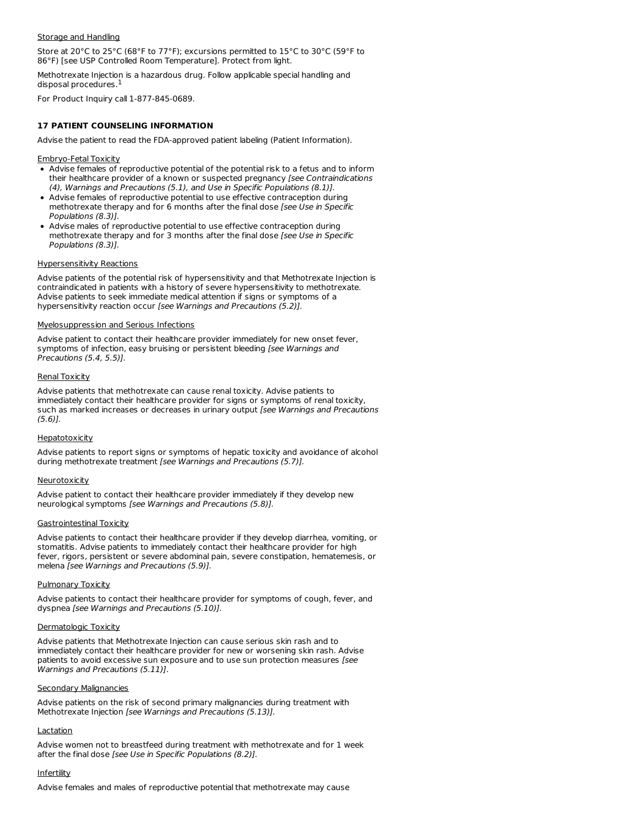### Storage and Handling

Store at 20°C to 25°C (68°F to 77°F); excursions permitted to 15°C to 30°C (59°F to 86°F) [see USP Controlled Room Temperature]. Protect from light.

Methotrexate Injection is a hazardous drug. Follow applicable special handling and disposal procedures. 1

For Product Inquiry call 1-877-845-0689.

## **17 PATIENT COUNSELING INFORMATION**

Advise the patient to read the FDA-approved patient labeling (Patient Information).

### Embryo-Fetal Toxicity

- Advise females of reproductive potential of the potential risk to a fetus and to inform their healthcare provider of a known or suspected pregnancy [see Contraindications (4), Warnings and Precautions (5.1), and Use in Specific Populations (8.1)].
- Advise females of reproductive potential to use effective contraception during methotrexate therapy and for 6 months after the final dose [see Use in Specific Populations (8.3)].
- Advise males of reproductive potential to use effective contraception during methotrexate therapy and for 3 months after the final dose [see Use in Specific Populations (8.3)].

## Hypersensitivity Reactions

Advise patients of the potential risk of hypersensitivity and that Methotrexate Injection is contraindicated in patients with a history of severe hypersensitivity to methotrexate. Advise patients to seek immediate medical attention if signs or symptoms of a hypersensitivity reaction occur [see Warnings and Precautions (5.2)].

## Myelosuppression and Serious Infections

Advise patient to contact their healthcare provider immediately for new onset fever, symptoms of infection, easy bruising or persistent bleeding [see Warnings and Precautions (5.4, 5.5)].

## Renal Toxicity

Advise patients that methotrexate can cause renal toxicity. Advise patients to immediately contact their healthcare provider for signs or symptoms of renal toxicity, such as marked increases or decreases in urinary output [see Warnings and Precautions (5.6)].

## **Hepatotoxicity**

Advise patients to report signs or symptoms of hepatic toxicity and avoidance of alcohol during methotrexate treatment [see Warnings and Precautions (5.7)].

#### Neurotoxicity

Advise patient to contact their healthcare provider immediately if they develop new neurological symptoms [see Warnings and Precautions (5.8)].

#### Gastrointestinal Toxicity

Advise patients to contact their healthcare provider if they develop diarrhea, vomiting, or stomatitis. Advise patients to immediately contact their healthcare provider for high fever, rigors, persistent or severe abdominal pain, severe constipation, hematemesis, or melena [see Warnings and Precautions (5.9)].

## Pulmonary Toxicity

Advise patients to contact their healthcare provider for symptoms of cough, fever, and dyspnea [see Warnings and Precautions (5.10)].

#### Dermatologic Toxicity

Advise patients that Methotrexate Injection can cause serious skin rash and to immediately contact their healthcare provider for new or worsening skin rash. Advise patients to avoid excessive sun exposure and to use sun protection measures [see Warnings and Precautions (5.11)].

#### Secondary Malignancies

Advise patients on the risk of second primary malignancies during treatment with Methotrexate Injection [see Warnings and Precautions (5.13)].

## **Lactation**

Advise women not to breastfeed during treatment with methotrexate and for 1 week after the final dose [see Use in Specific Populations (8.2)].

## **Infertility**

Advise females and males of reproductive potential that methotrexate may cause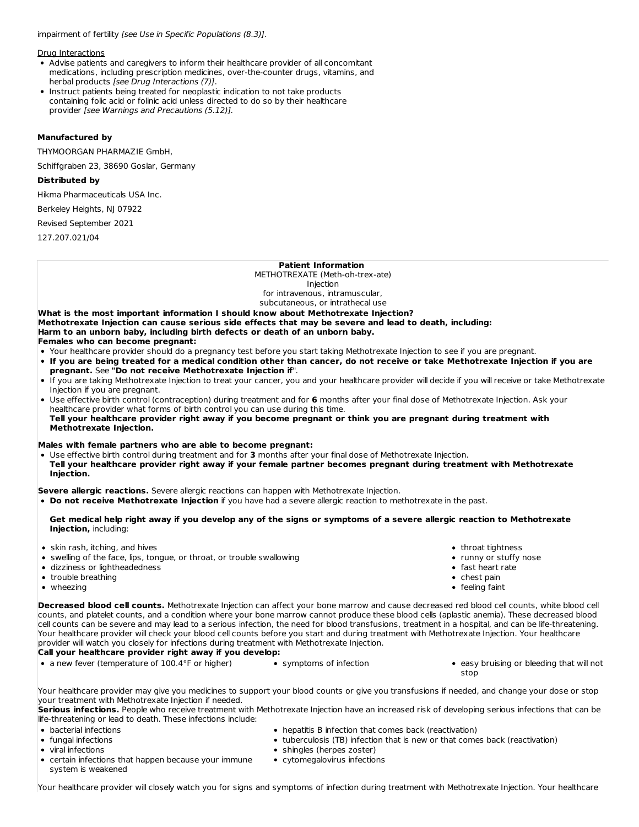impairment of fertility [see Use in Specific Populations (8.3)].

Drug Interactions

- Advise patients and caregivers to inform their healthcare provider of all concomitant medications, including prescription medicines, over-the-counter drugs, vitamins, and herbal products [see Drug Interactions (7)].
- Instruct patients being treated for neoplastic indication to not take products containing folic acid or folinic acid unless directed to do so by their healthcare provider [see Warnings and Precautions (5.12)].

## **Manufactured by**

THYMOORGAN PHARMAZIE GmbH,

Schiffgraben 23, 38690 Goslar, Germany

#### **Distributed by**

Hikma Pharmaceuticals USA Inc.

Berkeley Heights, NJ 07922

Revised September 2021

127.207.021/04

#### **Patient Information**

METHOTREXATE (Meth-oh-trex-ate) Injection for intravenous, intramuscular, subcutaneous, or intrathecal use

**What is the most important information I should know about Methotrexate Injection? Methotrexate Injection can cause serious side effects that may be severe and lead to death, including: Harm to an unborn baby, including birth defects or death of an unborn baby. Females who can become pregnant:**

- Your healthcare provider should do a pregnancy test before you start taking Methotrexate Injection to see if you are pregnant.
- . If you are being treated for a medical condition other than cancer, do not receive or take Methotrexate Injection if you are **pregnant.** See **"Do not receive Methotrexate Injection if**".
- If you are taking Methotrexate Injection to treat your cancer, you and your healthcare provider will decide if you will receive or take Methotrexate Injection if you are pregnant.
- Use effective birth control (contraception) during treatment and for **6** months after your final dose of Methotrexate Injection. Ask your healthcare provider what forms of birth control you can use during this time.
- Tell your healthcare provider right away if you become pregnant or think you are pregnant during treatment with **Methotrexate Injection.**

#### **Males with female partners who are able to become pregnant:**

Use effective birth control during treatment and for **3** months after your final dose of Methotrexate Injection. Tell your healthcare provider right away if your female partner becomes pregnant during treatment with Methotrexate **Injection.**

**Severe allergic reactions.** Severe allergic reactions can happen with Methotrexate Injection.

**Do not receive Methotrexate Injection** if you have had a severe allergic reaction to methotrexate in the past.

#### Get medical help right away if you develop any of the signs or symptoms of a severe allergic reaction to Methotrexate **Injection,** including:

- skin rash, itching, and hives
- swelling of the face, lips, tongue, or throat, or trouble swallowing
- dizziness or lightheadedness
- trouble breathing
- wheezing
- throat tightness • runny or stuffy nose
- fast heart rate
- chest pain
- feeling faint
- **Decreased blood cell counts.** Methotrexate Injection can affect your bone marrow and cause decreased red blood cell counts, white blood cell counts, and platelet counts, and a condition where your bone marrow cannot produce these blood cells (aplastic anemia). These decreased blood cell counts can be severe and may lead to a serious infection, the need for blood transfusions, treatment in a hospital, and can be life-threatening. Your healthcare provider will check your blood cell counts before you start and during treatment with Methotrexate Injection. Your healthcare provider will watch you closely for infections during treatment with Methotrexate Injection.

### **Call your healthcare provider right away if you develop:**

- a new fever (temperature of 100.4°F or higher) symptoms of infection easy bruising or bleeding that will not
	-
- stop

Your healthcare provider may give you medicines to support your blood counts or give you transfusions if needed, and change your dose or stop your treatment with Methotrexate Injection if needed.

**Serious infections.** People who receive treatment with Methotrexate Injection have an increased risk of developing serious infections that can be life-threatening or lead to death. These infections include:

- bacterial infections
- fungal infections
- viral infections
- hepatitis B infection that comes back (reactivation)
- tuberculosis (TB) infection that is new or that comes back (reactivation)
- shingles (herpes zoster)
- certain infections that happen because your immune system is weakened
- cytomegalovirus infections

Your healthcare provider will closely watch you for signs and symptoms of infection during treatment with Methotrexate Injection. Your healthcare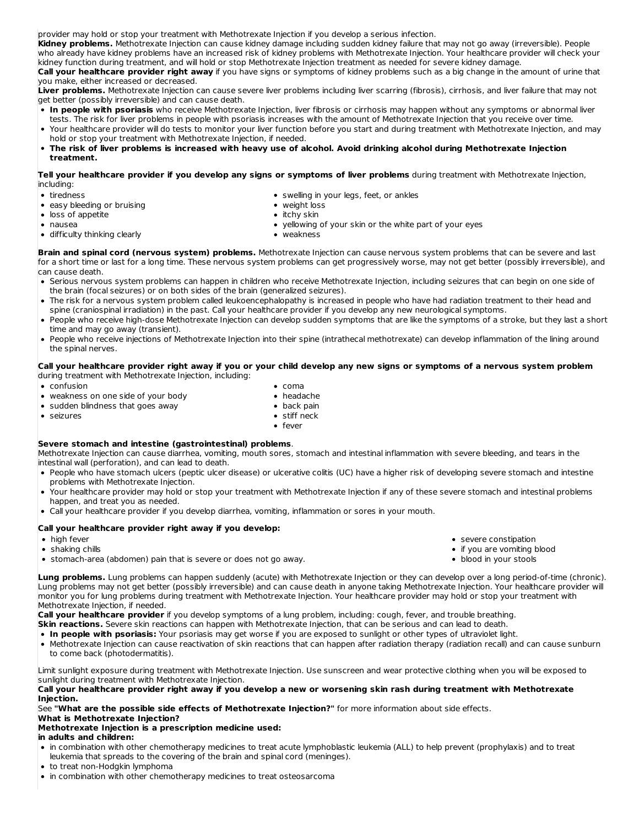provider may hold or stop your treatment with Methotrexate Injection if you develop a serious infection.

**Kidney problems.** Methotrexate Injection can cause kidney damage including sudden kidney failure that may not go away (irreversible). People who already have kidney problems have an increased risk of kidney problems with Methotrexate Injection. Your healthcare provider will check your kidney function during treatment, and will hold or stop Methotrexate Injection treatment as needed for severe kidney damage.

**Call your healthcare provider right away** if you have signs or symptoms of kidney problems such as a big change in the amount of urine that you make, either increased or decreased.

**Liver problems.** Methotrexate Injection can cause severe liver problems including liver scarring (fibrosis), cirrhosis, and liver failure that may not get better (possibly irreversible) and can cause death.

- **In people with psoriasis** who receive Methotrexate Injection, liver fibrosis or cirrhosis may happen without any symptoms or abnormal liver tests. The risk for liver problems in people with psoriasis increases with the amount of Methotrexate Injection that you receive over time.
- Your healthcare provider will do tests to monitor your liver function before you start and during treatment with Methotrexate Injection, and may hold or stop your treatment with Methotrexate Injection, if needed.
- The risk of liver problems is increased with heavy use of alcohol. Avoid drinking alcohol during Methotrexate Injection **treatment.**

Tell your healthcare provider if you develop any signs or symptoms of liver problems during treatment with Methotrexate Injection, including:

- tiredness
- easy bleeding or bruising

• difficulty thinking clearly

- loss of appetite
- nausea
- swelling in your legs, feet, or ankles weight loss
- 

- $\bullet$  itchy skin
- yellowing of your skin or the white part of your eyes weakness

**Brain and spinal cord (nervous system) problems.** Methotrexate Injection can cause nervous system problems that can be severe and last for a short time or last for a long time. These nervous system problems can get progressively worse, may not get better (possibly irreversible), and can cause death.

- Serious nervous system problems can happen in children who receive Methotrexate Injection, including seizures that can begin on one side of the brain (focal seizures) or on both sides of the brain (generalized seizures).
- The risk for a nervous system problem called leukoencephalopathy is increased in people who have had radiation treatment to their head and spine (craniospinal irradiation) in the past. Call your healthcare provider if you develop any new neurological symptoms.
- People who receive high-dose Methotrexate Injection can develop sudden symptoms that are like the symptoms of a stroke, but they last a short time and may go away (transient).
- People who receive injections of Methotrexate Injection into their spine (intrathecal methotrexate) can develop inflammation of the lining around the spinal nerves.

Call your healthcare provider right away if you or your child develop any new signs or symptoms of a nervous system problem during treatment with Methotrexate Injection, including:

- confusion
- weakness on one side of your body
- sudden blindness that goes away
- 
- coma headache
- $\bullet$  back pain

seizures

- stiff neck fever
- 

## **Severe stomach and intestine (gastrointestinal) problems**.

Methotrexate Injection can cause diarrhea, vomiting, mouth sores, stomach and intestinal inflammation with severe bleeding, and tears in the intestinal wall (perforation), and can lead to death.

- People who have stomach ulcers (peptic ulcer disease) or ulcerative colitis (UC) have a higher risk of developing severe stomach and intestine problems with Methotrexate Injection.
- Your healthcare provider may hold or stop your treatment with Methotrexate Injection if any of these severe stomach and intestinal problems happen, and treat you as needed.
- Call your healthcare provider if you develop diarrhea, vomiting, inflammation or sores in your mouth.

## **Call your healthcare provider right away if you develop:**

- high fever
- shaking chills
- stomach-area (abdomen) pain that is severe or does not go away.

**Lung problems.** Lung problems can happen suddenly (acute) with Methotrexate Injection or they can develop over a long period-of-time (chronic). Lung problems may not get better (possibly irreversible) and can cause death in anyone taking Methotrexate Injection. Your healthcare provider will monitor you for lung problems during treatment with Methotrexate Injection. Your healthcare provider may hold or stop your treatment with Methotrexate Injection, if needed.

**Call your healthcare provider** if you develop symptoms of a lung problem, including: cough, fever, and trouble breathing.

- **Skin reactions.** Severe skin reactions can happen with Methotrexate Injection, that can be serious and can lead to death.
- **In people with psoriasis:** Your psoriasis may get worse if you are exposed to sunlight or other types of ultraviolet light.
- Methotrexate Injection can cause reactivation of skin reactions that can happen after radiation therapy (radiation recall) and can cause sunburn to come back (photodermatitis).

Limit sunlight exposure during treatment with Methotrexate Injection. Use sunscreen and wear protective clothing when you will be exposed to sunlight during treatment with Methotrexate Injection.

Call your healthcare provider right away if you develop a new or worsening skin rash during treatment with Methotrexate **Injection.**

See **"What are the possible side effects of Methotrexate Injection?"** for more information about side effects.

#### **What is Methotrexate Injection? Methotrexate Injection is a prescription medicine used:**

## **in adults and children:**

- in combination with other chemotherapy medicines to treat acute lymphoblastic leukemia (ALL) to help prevent (prophylaxis) and to treat leukemia that spreads to the covering of the brain and spinal cord (meninges).
- to treat non-Hodgkin lymphoma
- in combination with other chemotherapy medicines to treat osteosarcoma
- severe constipation
- if you are vomiting blood
- blood in your stools
-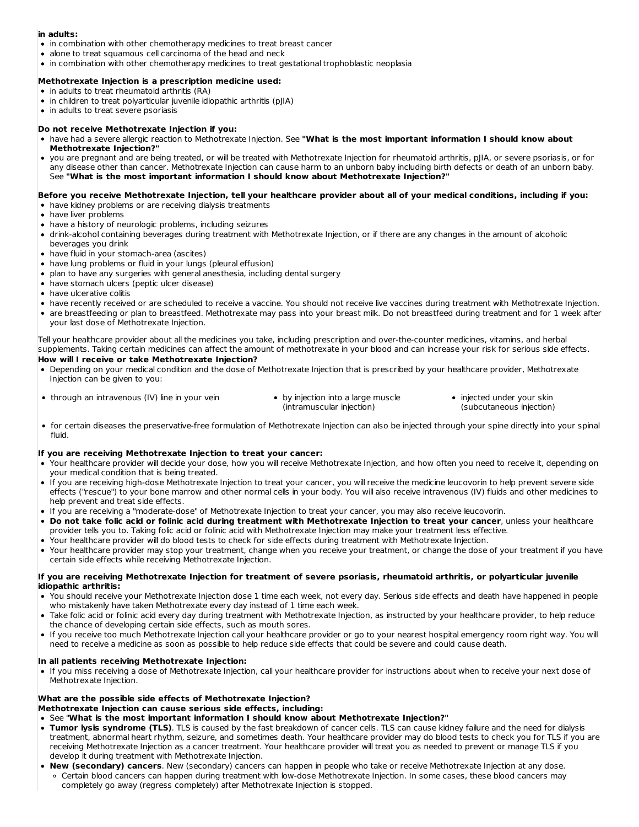## **in adults:**

- in combination with other chemotherapy medicines to treat breast cancer
- alone to treat squamous cell carcinoma of the head and neck
- in combination with other chemotherapy medicines to treat gestational trophoblastic neoplasia

### **Methotrexate Injection is a prescription medicine used:**

- in adults to treat rheumatoid arthritis (RA)
- in children to treat polyarticular juvenile idiopathic arthritis (pJIA)
- in adults to treat severe psoriasis
- **Do not receive Methotrexate Injection if you:**
- have had a severe allergic reaction to Methotrexate Injection. See **"What is the most important information I should know about Methotrexate Injection?"**
- you are pregnant and are being treated, or will be treated with Methotrexate Injection for rheumatoid arthritis, pJIA, or severe psoriasis, or for any disease other than cancer. Methotrexate Injection can cause harm to an unborn baby including birth defects or death of an unborn baby. See **"What is the most important information I should know about Methotrexate Injection?"**

#### Before you receive Methotrexate Injection, tell your healthcare provider about all of your medical conditions, including if you: have kidney problems or are receiving dialysis treatments

- have liver problems
- have a history of neurologic problems, including seizures
- drink-alcohol containing beverages during treatment with Methotrexate Injection, or if there are any changes in the amount of alcoholic beverages you drink
- have fluid in your stomach-area (ascites)
- have lung problems or fluid in your lungs (pleural effusion)
- plan to have any surgeries with general anesthesia, including dental surgery
- have stomach ulcers (peptic ulcer disease)
- have ulcerative colitis
- have recently received or are scheduled to receive a vaccine. You should not receive live vaccines during treatment with Methotrexate Injection.
- are breastfeeding or plan to breastfeed. Methotrexate may pass into your breast milk. Do not breastfeed during treatment and for 1 week after your last dose of Methotrexate Injection.

Tell your healthcare provider about all the medicines you take, including prescription and over-the-counter medicines, vitamins, and herbal supplements. Taking certain medicines can affect the amount of methotrexate in your blood and can increase your risk for serious side effects. **How will I receive or take Methotrexate Injection?**

- Depending on your medical condition and the dose of Methotrexate Injection that is prescribed by your healthcare provider, Methotrexate Injection can be given to you:
- through an intravenous (IV) line in your vein by injection into a large muscle
	- (intramuscular injection)
- injected under your skin (subcutaneous injection)
- for certain diseases the preservative-free formulation of Methotrexate Injection can also be injected through your spine directly into your spinal fluid.

## **If you are receiving Methotrexate Injection to treat your cancer:**

- Your healthcare provider will decide your dose, how you will receive Methotrexate Injection, and how often you need to receive it, depending on your medical condition that is being treated.
- If you are receiving high-dose Methotrexate Injection to treat your cancer, you will receive the medicine leucovorin to help prevent severe side effects ("rescue") to your bone marrow and other normal cells in your body. You will also receive intravenous (IV) fluids and other medicines to help prevent and treat side effects.
- If you are receiving a "moderate-dose" of Methotrexate Injection to treat your cancer, you may also receive leucovorin.
- . Do not take folic acid or folinic acid during treatment with Methotrexate Injection to treat your cancer, unless your healthcare provider tells you to. Taking folic acid or folinic acid with Methotrexate Injection may make your treatment less effective.
- Your healthcare provider will do blood tests to check for side effects during treatment with Methotrexate Injection.
- Your healthcare provider may stop your treatment, change when you receive your treatment, or change the dose of your treatment if you have certain side effects while receiving Methotrexate Injection.

#### If you are receiving Methotrexate Injection for treatment of severe psoriasis, rheumatoid arthritis, or polyarticular juvenile **idiopathic arthritis:**

- You should receive your Methotrexate Injection dose 1 time each week, not every day. Serious side effects and death have happened in people who mistakenly have taken Methotrexate every day instead of 1 time each week.
- Take folic acid or folinic acid every day during treatment with Methotrexate Injection, as instructed by your healthcare provider, to help reduce the chance of developing certain side effects, such as mouth sores.
- If you receive too much Methotrexate Injection call your healthcare provider or go to your nearest hospital emergency room right way. You will need to receive a medicine as soon as possible to help reduce side effects that could be severe and could cause death.

## **In all patients receiving Methotrexate Injection:**

If you miss receiving a dose of Methotrexate Injection, call your healthcare provider for instructions about when to receive your next dose of Methotrexate Injection.

#### **What are the possible side effects of Methotrexate Injection?**

## **Methotrexate Injection can cause serious side effects, including:**

- See "**What is the most important information I should know about Methotrexate Injection?"**
- **Tumor lysis syndrome (TLS)**. TLS is caused by the fast breakdown of cancer cells. TLS can cause kidney failure and the need for dialysis treatment, abnormal heart rhythm, seizure, and sometimes death. Your healthcare provider may do blood tests to check you for TLS if you are receiving Methotrexate Injection as a cancer treatment. Your healthcare provider will treat you as needed to prevent or manage TLS if you develop it during treatment with Methotrexate Injection.
- **New (secondary) cancers**. New (secondary) cancers can happen in people who take or receive Methotrexate Injection at any dose. Certain blood cancers can happen during treatment with low-dose Methotrexate Injection. In some cases, these blood cancers may completely go away (regress completely) after Methotrexate Injection is stopped.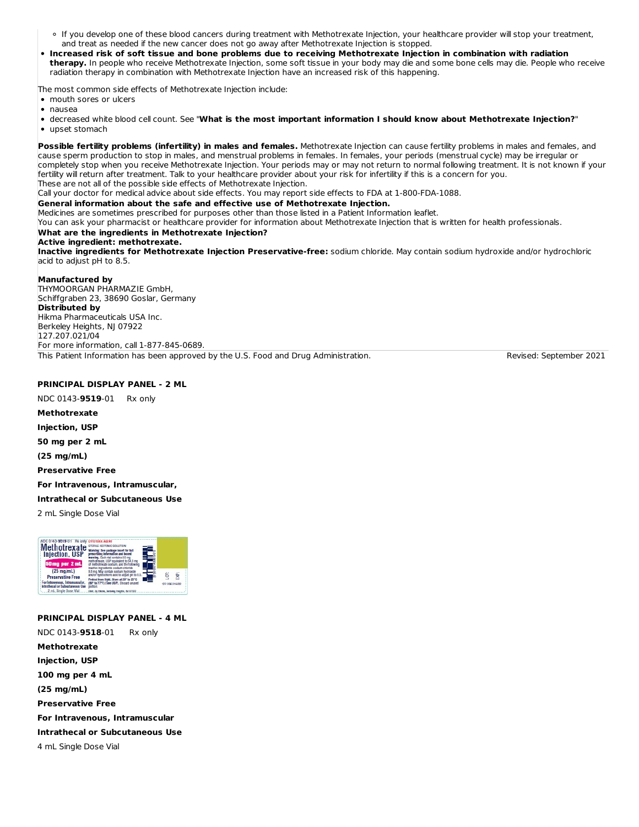- If you develop one of these blood cancers during treatment with Methotrexate Injection, your healthcare provider will stop your treatment, and treat as needed if the new cancer does not go away after Methotrexate Injection is stopped.
- Increased risk of soft tissue and bone problems due to receiving Methotrexate Injection in combination with radiation **therapy.** In people who receive Methotrexate Injection, some soft tissue in your body may die and some bone cells may die. People who receive radiation therapy in combination with Methotrexate Injection have an increased risk of this happening.

The most common side effects of Methotrexate Injection include:

mouth sores or ulcers

nausea

decreased white blood cell count. See "**What is the most important information I should know about Methotrexate Injection?**" upset stomach

**Possible fertility problems (infertility) in males and females.** Methotrexate Injection can cause fertility problems in males and females, and cause sperm production to stop in males, and menstrual problems in females. In females, your periods (menstrual cycle) may be irregular or completely stop when you receive Methotrexate Injection. Your periods may or may not return to normal following treatment. It is not known if your fertility will return after treatment. Talk to your healthcare provider about your risk for infertility if this is a concern for you. These are not all of the possible side effects of Methotrexate Injection.

Call your doctor for medical advice about side effects. You may report side effects to FDA at 1-800-FDA-1088.

### **General information about the safe and effective use of Methotrexate Injection.**

Medicines are sometimes prescribed for purposes other than those listed in a Patient Information leaflet.

You can ask your pharmacist or healthcare provider for information about Methotrexate Injection that is written for health professionals.

# **What are the ingredients in Methotrexate Injection?**

## **Active ingredient: methotrexate.**

**Inactive ingredients for Methotrexate Injection Preservative-free:** sodium chloride. May contain sodium hydroxide and/or hydrochloric acid to adjust pH to 8.5.

#### **Manufactured by**

THYMOORGAN PHARMAZIE GmbH, Schiffgraben 23, 38690 Goslar, Germany **Distributed by** Hikma Pharmaceuticals USA Inc. Berkeley Heights, NJ 07922 127.207.021/04 For more information, call 1-877-845-0689.

This Patient Information has been approved by the U.S. Food and Drug Administration. This revised: September 2021

## **PRINCIPAL DISPLAY PANEL - 2 ML**

NDC 0143-**9519**-01 Rx only

**Methotrexate**

**Injection, USP**

**50 mg per 2 mL**

**(25 mg/mL)**

**Preservative Free**

**For Intravenous, Intramuscular,**

#### **Intrathecal or Subcutaneous Use**

2 mL Single Dose Vial



### **PRINCIPAL DISPLAY PANEL - 4 ML**

NDC 0143-**9518**-01 Rx only **Methotrexate Injection, USP 100 mg per 4 mL (25 mg/mL) Preservative Free For Intravenous, Intramuscular Intrathecal or Subcutaneous Use** 4 mL Single Dose Vial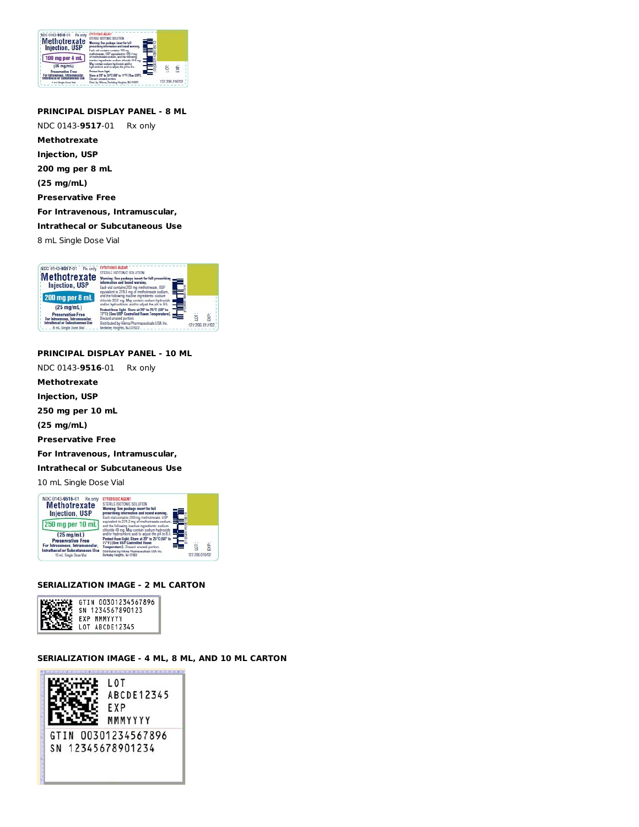

## **PRINCIPAL DISPLAY PANEL - 8 ML**

NDC 0143-**9517**-01 Rx only **Methotrexate Injection, USP 200 mg per 8 mL (25 mg/mL) Preservative Free For Intravenous, Intramuscular, Intrathecal or Subcutaneous Use** 8 mL Single Dose Vial

NDC 0143-9517-01 Rx only CYTOTOXIC AGENT Methotre xate<br>
Injection, USP<br>
Enter State<br>
Stephand and beautive 200 methods<br>
State and beautive 200 methods **Injection, USP Injection, USP**<br>
Each via contains 200 mg methodes<br>
200 mg per 8 mL<br>
<sup>Salac</sup>e Solomia make may be predicted<br>
(25 mg/mL)<br>
electric states and a state of the state of the state  $(25 \text{ mg/mL})$ Protect from light. Store at 20° to 25°C (68° to<br>77°F) (See USP Controlled Room Temperature) Preservative Free<br>Intravenous, Intramuscular,<br>athesal or Subsutaneous Use<br>BmL Single Dose Vial ior: EXP: scard u ed por Distributed by Hikma Pharmaceuticals USA Inc.<br>Berkeley, Heights, NJ 07922 127.206.017/02

## **PRINCIPAL DISPLAY PANEL - 10 ML**

NDC 0143-**9516**-01 Rx only

**Methotrexate**

**Injection, USP**

**250 mg per 10 mL**

**(25 mg/mL)**

**Preservative Free**

**For Intravenous, Intramuscular,**

**Intrathecal or Subcutaneous Use**

10 mL Single Dose Vial



#### **SERIALIZATION IMAGE - 2 ML CARTON**



#### **SERIALIZATION IMAGE - 4 ML, 8 ML, AND 10 ML CARTON**

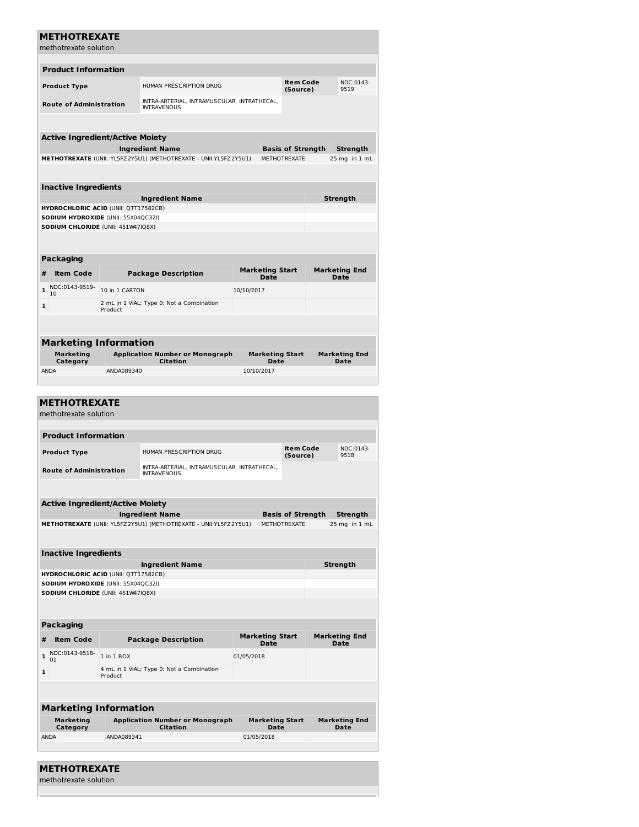| <b>METHOTREXATE</b>                    |                |                                                                  |            |                                       |                              |                               |                              |  |
|----------------------------------------|----------------|------------------------------------------------------------------|------------|---------------------------------------|------------------------------|-------------------------------|------------------------------|--|
| methotrexate solution                  |                |                                                                  |            |                                       |                              |                               |                              |  |
|                                        |                |                                                                  |            |                                       |                              |                               |                              |  |
| <b>Product Information</b>             |                |                                                                  |            |                                       |                              |                               |                              |  |
| <b>Product Type</b>                    |                | HUMAN PRESCRIPTION DRUG                                          |            |                                       | <b>Item Code</b><br>(Source) |                               | NDC:0143-<br>9519            |  |
|                                        |                | INTRA-ARTERIAL, INTRAMUSCULAR, INTRATHECAL,                      |            |                                       |                              |                               |                              |  |
| <b>Route of Administration</b>         |                | <b>INTRAVENOUS</b>                                               |            |                                       |                              |                               |                              |  |
|                                        |                |                                                                  |            |                                       |                              |                               |                              |  |
| <b>Active Ingredient/Active Moiety</b> |                |                                                                  |            |                                       |                              |                               |                              |  |
|                                        |                | <b>Ingredient Name</b>                                           |            |                                       | <b>Basis of Strength</b>     |                               | Strength                     |  |
|                                        |                | METHOTREXATE (UNII: YL5FZ2Y5U1) (METHOTREXATE - UNII:YL5FZ2Y5U1) |            |                                       |                              | METHOTREXATE<br>25 mg in 1 mL |                              |  |
|                                        |                |                                                                  |            |                                       |                              |                               |                              |  |
| <b>Inactive Ingredients</b>            |                |                                                                  |            |                                       |                              |                               |                              |  |
|                                        |                | <b>Ingredient Name</b>                                           |            |                                       |                              |                               | Strength                     |  |
| HYDROCHLORIC ACID (UNII: QTT17582CB)   |                |                                                                  |            |                                       |                              |                               |                              |  |
| SODIUM HYDROXIDE (UNII: 55X04QC32I)    |                |                                                                  |            |                                       |                              |                               |                              |  |
| SODIUM CHLORIDE (UNII: 451W47IQ8X)     |                |                                                                  |            |                                       |                              |                               |                              |  |
|                                        |                |                                                                  |            |                                       |                              |                               |                              |  |
| <b>Packaging</b>                       |                |                                                                  |            |                                       |                              |                               |                              |  |
| #<br><b>Item Code</b>                  |                | <b>Package Description</b>                                       |            | <b>Marketing Start</b>                |                              |                               | <b>Marketing End</b>         |  |
|                                        |                |                                                                  |            | Date                                  |                              |                               | Date                         |  |
| NDC:0143-9519-<br>$\mathbf{1}$<br>10   | 10 in 1 CARTON |                                                                  | 10/10/2017 |                                       |                              |                               |                              |  |
| 1                                      | Product        | 2 mL in 1 VIAL; Type 0: Not a Combination                        |            |                                       |                              |                               |                              |  |
|                                        |                |                                                                  |            |                                       |                              |                               |                              |  |
|                                        |                |                                                                  |            |                                       |                              |                               |                              |  |
| <b>Marketing Information</b>           |                |                                                                  |            |                                       |                              |                               |                              |  |
| Marketing                              |                | <b>Application Number or Monograph</b><br>Citation               |            | <b>Marketing Start</b><br><b>Date</b> |                              |                               | <b>Marketing End</b><br>Date |  |
| Category<br><b>ANDA</b>                | ANDA089340     |                                                                  |            | 10/10/2017                            |                              |                               |                              |  |
|                                        |                |                                                                  |            |                                       |                              |                               |                              |  |
|                                        |                |                                                                  |            |                                       |                              |                               |                              |  |
| <b>METHOTREXATE</b>                    |                |                                                                  |            |                                       |                              |                               |                              |  |
| methotrexate solution                  |                |                                                                  |            |                                       |                              |                               |                              |  |
|                                        |                |                                                                  |            |                                       |                              |                               |                              |  |
| <b>Product Information</b>             |                |                                                                  |            |                                       |                              |                               |                              |  |
| <b>Product Type</b>                    |                | HUMAN PRESCRIPTION DRUG                                          |            |                                       | <b>Item Code</b><br>(Source) |                               | NDC:0143-<br>9518            |  |
| <b>Route of Administration</b>         |                | INTRA-ARTERIAL, INTRAMUSCULAR, INTRATHECAL,                      |            |                                       |                              |                               |                              |  |
|                                        |                | <b>INTRAVENOUS</b>                                               |            |                                       |                              |                               |                              |  |
|                                        |                |                                                                  |            |                                       |                              |                               |                              |  |
| <b>Active Ingredient/Active Moiety</b> |                |                                                                  |            |                                       |                              |                               |                              |  |
|                                        |                | <b>Ingredient Name</b>                                           |            |                                       | <b>Basis of Strength</b>     |                               | <b>Strength</b>              |  |
|                                        |                | METHOTREXATE (UNII: YL5FZ2Y5U1) (METHOTREXATE - UNII:YL5FZ2Y5U1) |            |                                       | <b>METHOTREXATE</b>          |                               | 25 mg in 1 mL                |  |
|                                        |                |                                                                  |            |                                       |                              |                               |                              |  |
| <b>Inactive Ingredients</b>            |                |                                                                  |            |                                       |                              |                               |                              |  |
| HYDROCHLORIC ACID (UNII: QTT17582CB)   |                | <b>Ingredient Name</b>                                           |            |                                       |                              |                               | Strength                     |  |
| SODIUM HYDROXIDE (UNII: 55X04QC32I)    |                |                                                                  |            |                                       |                              |                               |                              |  |
| SODIUM CHLORIDE (UNII: 451W47IQ8X)     |                |                                                                  |            |                                       |                              |                               |                              |  |
|                                        |                |                                                                  |            |                                       |                              |                               |                              |  |
|                                        |                |                                                                  |            |                                       |                              |                               |                              |  |
| Packaging                              |                |                                                                  |            |                                       |                              |                               |                              |  |
|                                        |                |                                                                  |            | <b>Marketing Start</b>                |                              |                               | <b>Marketing End</b>         |  |

| #                            | <b>Item Code</b>      | <b>Package Description</b>                                | <b>Marketing Start</b><br>Date | <b>Marketing End</b><br>Date |  |  |  |  |
|------------------------------|-----------------------|-----------------------------------------------------------|--------------------------------|------------------------------|--|--|--|--|
| $\mathbf{1}$                 | NDC:0143-9518-<br>01  | 1 in 1 BOX                                                | 01/05/2018                     |                              |  |  |  |  |
| $\mathbf{1}$                 |                       | 4 mL in 1 VIAL; Type 0: Not a Combination<br>Product      |                                |                              |  |  |  |  |
|                              |                       |                                                           |                                |                              |  |  |  |  |
| <b>Marketing Information</b> |                       |                                                           |                                |                              |  |  |  |  |
|                              | Marketing<br>Category | <b>Application Number or Monograph</b><br><b>Citation</b> | <b>Marketing Start</b><br>Date | <b>Marketing End</b><br>Date |  |  |  |  |
|                              | <b>ANDA</b>           | ANDA089341                                                | 01/05/2018                     |                              |  |  |  |  |

| <b>METHOTREXATE</b>   |  |  |
|-----------------------|--|--|
| methotrexate solution |  |  |
|                       |  |  |